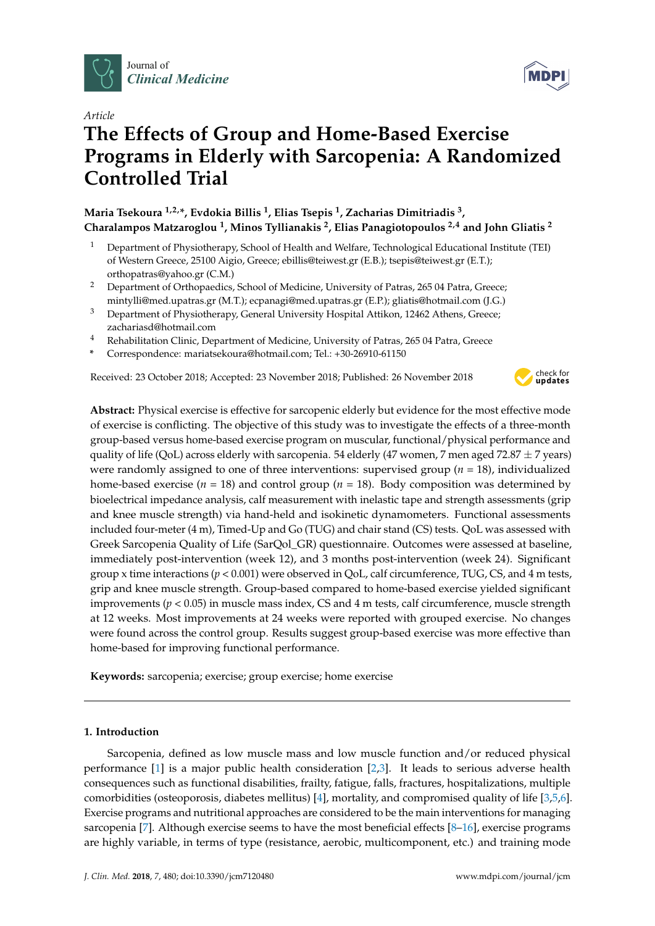



# **The Effects of Group and Home-Based Exercise Programs in Elderly with Sarcopenia: A Randomized Controlled Trial**

## **Maria Tsekoura 1,2,\*, Evdokia Billis <sup>1</sup> , Elias Tsepis <sup>1</sup> , Zacharias Dimitriadis <sup>3</sup> , Charalampos Matzaroglou <sup>1</sup> , Minos Tyllianakis <sup>2</sup> , Elias Panagiotopoulos 2,4 and John Gliatis <sup>2</sup>**

- <sup>1</sup> Department of Physiotherapy, School of Health and Welfare, Technological Educational Institute (TEI) of Western Greece, 25100 Aigio, Greece; ebillis@teiwest.gr (E.B.); tsepis@teiwest.gr (E.T.); orthopatras@yahoo.gr (C.M.)
- <sup>2</sup> Department of Orthopaedics, School of Medicine, University of Patras, 265 04 Patra, Greece; mintylli@med.upatras.gr (M.T.); ecpanagi@med.upatras.gr (E.P.); gliatis@hotmail.com (J.G.)
- <sup>3</sup> Department of Physiotherapy, General University Hospital Attikon, 12462 Athens, Greece; zachariasd@hotmail.com
- <sup>4</sup> Rehabilitation Clinic, Department of Medicine, University of Patras, 265 04 Patra, Greece
- **\*** Correspondence: mariatsekoura@hotmail.com; Tel.: +30-26910-61150

Received: 23 October 2018; Accepted: 23 November 2018; Published: 26 November 2018



**Abstract:** Physical exercise is effective for sarcopenic elderly but evidence for the most effective mode of exercise is conflicting. The objective of this study was to investigate the effects of a three-month group-based versus home-based exercise program on muscular, functional/physical performance and quality of life (QoL) across elderly with sarcopenia. 54 elderly (47 women, 7 men aged 72.87  $\pm$  7 years) were randomly assigned to one of three interventions: supervised group (*n* = 18), individualized home-based exercise (*n* = 18) and control group (*n* = 18). Body composition was determined by bioelectrical impedance analysis, calf measurement with inelastic tape and strength assessments (grip and knee muscle strength) via hand-held and isokinetic dynamometers. Functional assessments included four-meter (4 m), Timed-Up and Go (TUG) and chair stand (CS) tests. QoL was assessed with Greek Sarcopenia Quality of Life (SarQol\_GR) questionnaire. Outcomes were assessed at baseline, immediately post-intervention (week 12), and 3 months post-intervention (week 24). Significant group x time interactions  $(p < 0.001)$  were observed in QoL, calf circumference, TUG, CS, and 4 m tests, grip and knee muscle strength. Group-based compared to home-based exercise yielded significant improvements  $(p < 0.05)$  in muscle mass index, CS and 4 m tests, calf circumference, muscle strength at 12 weeks. Most improvements at 24 weeks were reported with grouped exercise. No changes were found across the control group. Results suggest group-based exercise was more effective than home-based for improving functional performance.

**Keywords:** sarcopenia; exercise; group exercise; home exercise

### **1. Introduction**

Sarcopenia, defined as low muscle mass and low muscle function and/or reduced physical performance [\[1\]](#page-13-0) is a major public health consideration [\[2](#page-13-1)[,3\]](#page-13-2). It leads to serious adverse health consequences such as functional disabilities, frailty, fatigue, falls, fractures, hospitalizations, multiple comorbidities (osteoporosis, diabetes mellitus) [\[4\]](#page-13-3), mortality, and compromised quality of life [\[3,](#page-13-2)[5,](#page-13-4)[6\]](#page-13-5). Exercise programs and nutritional approaches are considered to be the main interventions for managing sarcopenia [\[7\]](#page-13-6). Although exercise seems to have the most beneficial effects [\[8](#page-13-7)[–16\]](#page-14-0), exercise programs are highly variable, in terms of type (resistance, aerobic, multicomponent, etc.) and training mode

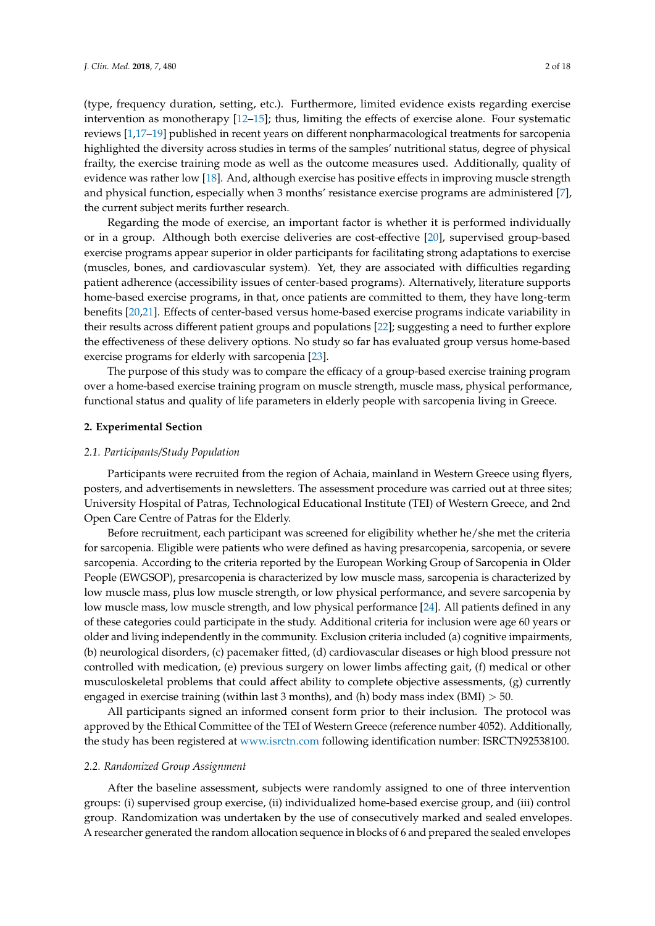(type, frequency duration, setting, etc.). Furthermore, limited evidence exists regarding exercise intervention as monotherapy [\[12](#page-14-1)[–15\]](#page-14-2); thus, limiting the effects of exercise alone. Four systematic reviews [\[1](#page-13-0)[,17](#page-14-3)[–19\]](#page-14-4) published in recent years on different nonpharmacological treatments for sarcopenia highlighted the diversity across studies in terms of the samples' nutritional status, degree of physical frailty, the exercise training mode as well as the outcome measures used. Additionally, quality of evidence was rather low [\[18\]](#page-14-5). And, although exercise has positive effects in improving muscle strength and physical function, especially when 3 months' resistance exercise programs are administered [\[7\]](#page-13-6), the current subject merits further research.

Regarding the mode of exercise, an important factor is whether it is performed individually or in a group. Although both exercise deliveries are cost-effective [\[20\]](#page-14-6), supervised group-based exercise programs appear superior in older participants for facilitating strong adaptations to exercise (muscles, bones, and cardiovascular system). Yet, they are associated with difficulties regarding patient adherence (accessibility issues of center-based programs). Alternatively, literature supports home-based exercise programs, in that, once patients are committed to them, they have long-term benefits [\[20,](#page-14-6)[21\]](#page-14-7). Effects of center-based versus home-based exercise programs indicate variability in their results across different patient groups and populations [\[22\]](#page-14-8); suggesting a need to further explore the effectiveness of these delivery options. No study so far has evaluated group versus home-based exercise programs for elderly with sarcopenia [\[23\]](#page-14-9).

The purpose of this study was to compare the efficacy of a group-based exercise training program over a home-based exercise training program on muscle strength, muscle mass, physical performance, functional status and quality of life parameters in elderly people with sarcopenia living in Greece.

#### **2. Experimental Section**

#### *2.1. Participants/Study Population*

Participants were recruited from the region of Achaia, mainland in Western Greece using flyers, posters, and advertisements in newsletters. The assessment procedure was carried out at three sites; University Hospital of Patras, Technological Educational Institute (TEI) of Western Greece, and 2nd Open Care Centre of Patras for the Elderly.

Before recruitment, each participant was screened for eligibility whether he/she met the criteria for sarcopenia. Eligible were patients who were defined as having presarcopenia, sarcopenia, or severe sarcopenia. According to the criteria reported by the European Working Group of Sarcopenia in Older People (EWGSOP), presarcopenia is characterized by low muscle mass, sarcopenia is characterized by low muscle mass, plus low muscle strength, or low physical performance, and severe sarcopenia by low muscle mass, low muscle strength, and low physical performance [\[24\]](#page-14-10). All patients defined in any of these categories could participate in the study. Additional criteria for inclusion were age 60 years or older and living independently in the community. Exclusion criteria included (a) cognitive impairments, (b) neurological disorders, (c) pacemaker fitted, (d) cardiovascular diseases or high blood pressure not controlled with medication, (e) previous surgery on lower limbs affecting gait, (f) medical or other musculoskeletal problems that could affect ability to complete objective assessments,  $(g)$  currently engaged in exercise training (within last 3 months), and (h) body mass index (BMI)  $>$  50.

All participants signed an informed consent form prior to their inclusion. The protocol was approved by the Ethical Committee of the TEI of Western Greece (reference number 4052). Additionally, the study has been registered at <www.isrctn.com> following identification number: ISRCTN92538100.

#### *2.2. Randomized Group Assignment*

After the baseline assessment, subjects were randomly assigned to one of three intervention groups: (i) supervised group exercise, (ii) individualized home-based exercise group, and (iii) control group. Randomization was undertaken by the use of consecutively marked and sealed envelopes. A researcher generated the random allocation sequence in blocks of 6 and prepared the sealed envelopes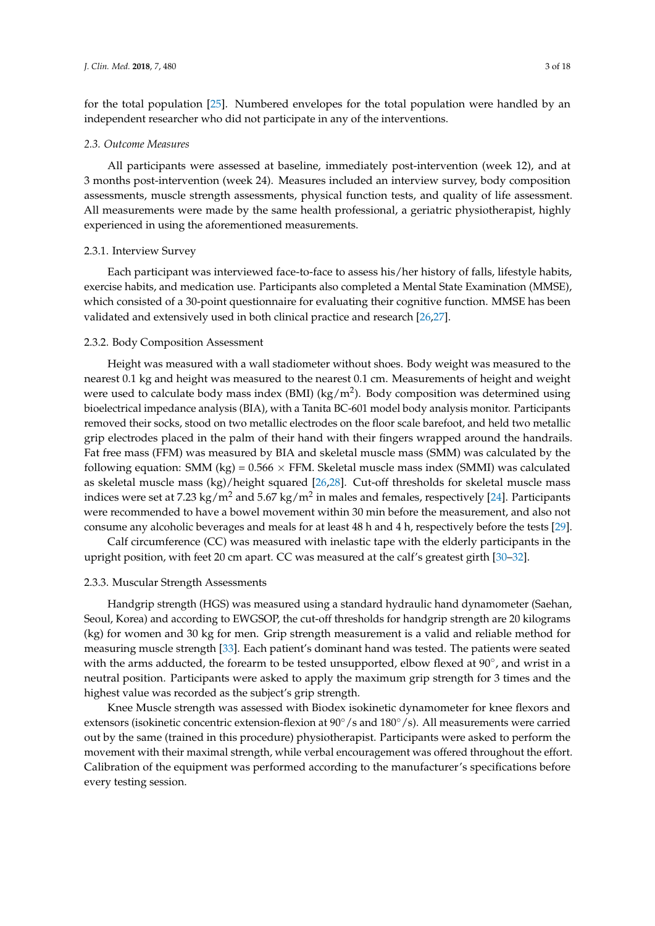for the total population [\[25\]](#page-14-11). Numbered envelopes for the total population were handled by an independent researcher who did not participate in any of the interventions.

#### *2.3. Outcome Measures*

All participants were assessed at baseline, immediately post-intervention (week 12), and at 3 months post-intervention (week 24). Measures included an interview survey, body composition assessments, muscle strength assessments, physical function tests, and quality of life assessment. All measurements were made by the same health professional, a geriatric physiotherapist, highly experienced in using the aforementioned measurements.

#### 2.3.1. Interview Survey

Each participant was interviewed face-to-face to assess his/her history of falls, lifestyle habits, exercise habits, and medication use. Participants also completed a Mental State Examination (MMSE), which consisted of a 30-point questionnaire for evaluating their cognitive function. MMSE has been validated and extensively used in both clinical practice and research [\[26,](#page-15-0)[27\]](#page-15-1).

#### 2.3.2. Body Composition Assessment

Height was measured with a wall stadiometer without shoes. Body weight was measured to the nearest 0.1 kg and height was measured to the nearest 0.1 cm. Measurements of height and weight were used to calculate body mass index (BMI) (kg/m<sup>2</sup>). Body composition was determined using bioelectrical impedance analysis (BIA), with a Tanita BC-601 model body analysis monitor. Participants removed their socks, stood on two metallic electrodes on the floor scale barefoot, and held two metallic grip electrodes placed in the palm of their hand with their fingers wrapped around the handrails. Fat free mass (FFM) was measured by BIA and skeletal muscle mass (SMM) was calculated by the following equation: SMM (kg) =  $0.566 \times$  FFM. Skeletal muscle mass index (SMMI) was calculated as skeletal muscle mass (kg)/height squared [\[26](#page-15-0)[,28\]](#page-15-2). Cut-off thresholds for skeletal muscle mass indices were set at 7.23 kg/m<sup>2</sup> and 5.67 kg/m<sup>2</sup> in males and females, respectively [\[24\]](#page-14-10). Participants were recommended to have a bowel movement within 30 min before the measurement, and also not consume any alcoholic beverages and meals for at least 48 h and 4 h, respectively before the tests [\[29\]](#page-15-3).

Calf circumference (CC) was measured with inelastic tape with the elderly participants in the upright position, with feet 20 cm apart. CC was measured at the calf's greatest girth [\[30–](#page-15-4)[32\]](#page-15-5).

#### 2.3.3. Muscular Strength Assessments

Handgrip strength (HGS) was measured using a standard hydraulic hand dynamometer (Saehan, Seoul, Korea) and according to EWGSOP, the cut-off thresholds for handgrip strength are 20 kilograms (kg) for women and 30 kg for men. Grip strength measurement is a valid and reliable method for measuring muscle strength [\[33\]](#page-15-6). Each patient's dominant hand was tested. The patients were seated with the arms adducted, the forearm to be tested unsupported, elbow flexed at 90°, and wrist in a neutral position. Participants were asked to apply the maximum grip strength for 3 times and the highest value was recorded as the subject's grip strength.

Knee Muscle strength was assessed with Biodex isokinetic dynamometer for knee flexors and extensors (isokinetic concentric extension-flexion at 90◦/s and 180◦/s). All measurements were carried out by the same (trained in this procedure) physiotherapist. Participants were asked to perform the movement with their maximal strength, while verbal encouragement was offered throughout the effort. Calibration of the equipment was performed according to the manufacturer's specifications before every testing session.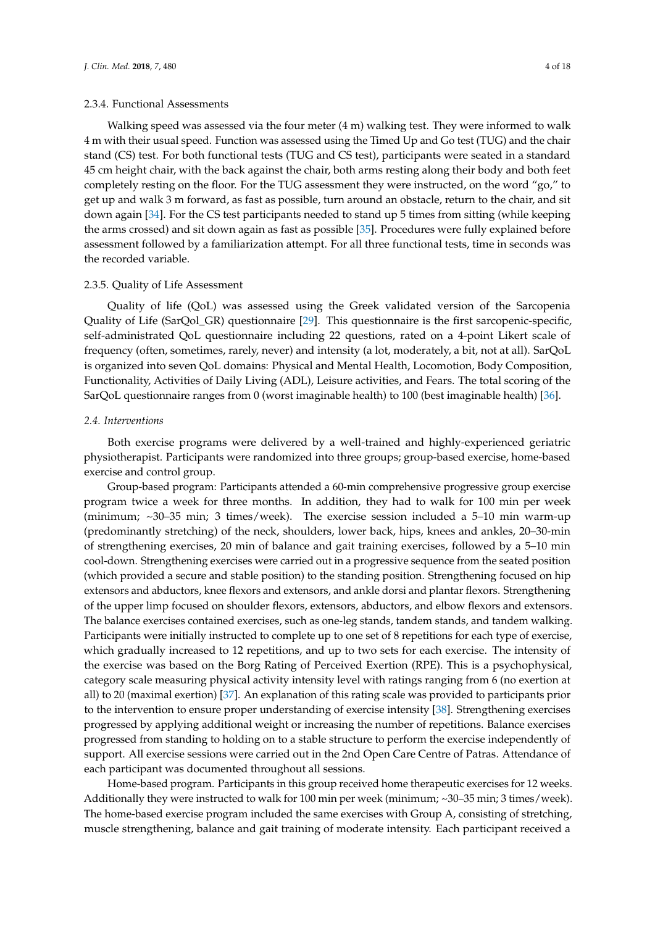#### 2.3.4. Functional Assessments

Walking speed was assessed via the four meter  $(4 \text{ m})$  walking test. They were informed to walk 4 m with their usual speed. Function was assessed using the Timed Up and Go test (TUG) and the chair stand (CS) test. For both functional tests (TUG and CS test), participants were seated in a standard 45 cm height chair, with the back against the chair, both arms resting along their body and both feet completely resting on the floor. For the TUG assessment they were instructed, on the word "go," to get up and walk 3 m forward, as fast as possible, turn around an obstacle, return to the chair, and sit down again [\[34\]](#page-15-7). For the CS test participants needed to stand up 5 times from sitting (while keeping the arms crossed) and sit down again as fast as possible [\[35\]](#page-15-8). Procedures were fully explained before assessment followed by a familiarization attempt. For all three functional tests, time in seconds was the recorded variable.

#### 2.3.5. Quality of Life Assessment

Quality of life (QoL) was assessed using the Greek validated version of the Sarcopenia Quality of Life (SarQol\_GR) questionnaire [\[29\]](#page-15-3). This questionnaire is the first sarcopenic-specific, self-administrated QoL questionnaire including 22 questions, rated on a 4-point Likert scale of frequency (often, sometimes, rarely, never) and intensity (a lot, moderately, a bit, not at all). SarQoL is organized into seven QoL domains: Physical and Mental Health, Locomotion, Body Composition, Functionality, Activities of Daily Living (ADL), Leisure activities, and Fears. The total scoring of the SarQoL questionnaire ranges from 0 (worst imaginable health) to 100 (best imaginable health) [\[36\]](#page-15-9).

#### *2.4. Interventions*

Both exercise programs were delivered by a well-trained and highly-experienced geriatric physiotherapist. Participants were randomized into three groups; group-based exercise, home-based exercise and control group.

Group-based program: Participants attended a 60-min comprehensive progressive group exercise program twice a week for three months. In addition, they had to walk for 100 min per week (minimum; ~30–35 min; 3 times/week). The exercise session included a 5–10 min warm-up (predominantly stretching) of the neck, shoulders, lower back, hips, knees and ankles, 20–30-min of strengthening exercises, 20 min of balance and gait training exercises, followed by a 5–10 min cool-down. Strengthening exercises were carried out in a progressive sequence from the seated position (which provided a secure and stable position) to the standing position. Strengthening focused on hip extensors and abductors, knee flexors and extensors, and ankle dorsi and plantar flexors. Strengthening of the upper limp focused on shoulder flexors, extensors, abductors, and elbow flexors and extensors. The balance exercises contained exercises, such as one-leg stands, tandem stands, and tandem walking. Participants were initially instructed to complete up to one set of 8 repetitions for each type of exercise, which gradually increased to 12 repetitions, and up to two sets for each exercise. The intensity of the exercise was based on the Borg Rating of Perceived Exertion (RPE). This is a psychophysical, category scale measuring physical activity intensity level with ratings ranging from 6 (no exertion at all) to 20 (maximal exertion) [\[37\]](#page-15-10). An explanation of this rating scale was provided to participants prior to the intervention to ensure proper understanding of exercise intensity [\[38\]](#page-15-11). Strengthening exercises progressed by applying additional weight or increasing the number of repetitions. Balance exercises progressed from standing to holding on to a stable structure to perform the exercise independently of support. All exercise sessions were carried out in the 2nd Open Care Centre of Patras. Attendance of each participant was documented throughout all sessions.

Home-based program. Participants in this group received home therapeutic exercises for 12 weeks. Additionally they were instructed to walk for 100 min per week (minimum; ~30–35 min; 3 times/week). The home-based exercise program included the same exercises with Group A, consisting of stretching, muscle strengthening, balance and gait training of moderate intensity. Each participant received a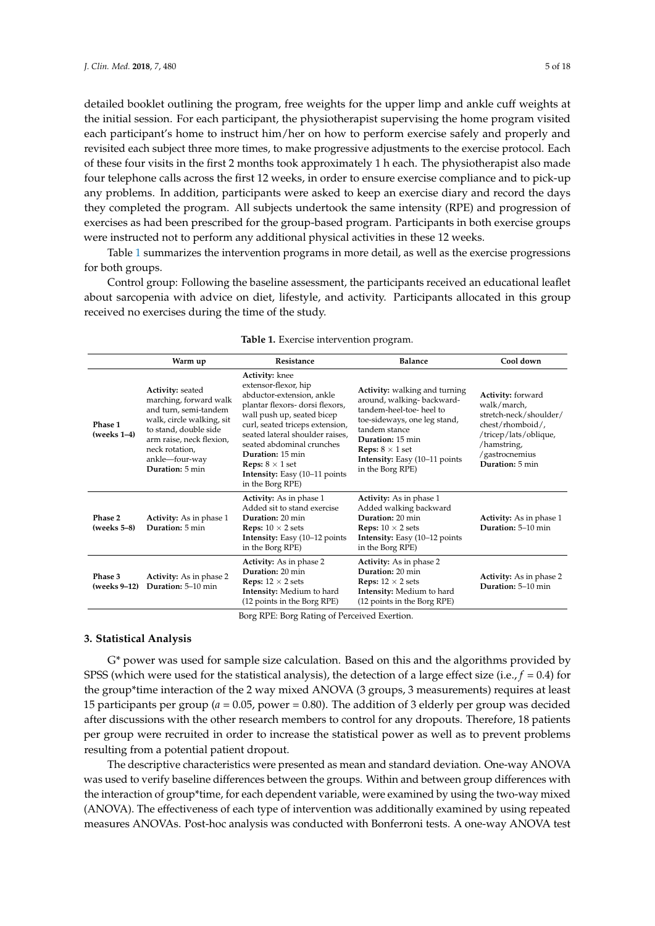detailed booklet outlining the program, free weights for the upper limp and ankle cuff weights at the initial session. For each participant, the physiotherapist supervising the home program visited each participant's home to instruct him/her on how to perform exercise safely and properly and revisited each subject three more times, to make progressive adjustments to the exercise protocol. Each of these four visits in the first 2 months took approximately 1 h each. The physiotherapist also made four telephone calls across the first 12 weeks, in order to ensure exercise compliance and to pick-up any problems. In addition, participants were asked to keep an exercise diary and record the days they completed the program. All subjects undertook the same intensity (RPE) and progression of exercises as had been prescribed for the group-based program. Participants in both exercise groups were instructed not to perform any additional physical activities in these 12 weeks.

Table [1](#page-4-0) summarizes the intervention programs in more detail, as well as the exercise progressions for both groups.

Control group: Following the baseline assessment, the participants received an educational leaflet about sarcopenia with advice on diet, lifestyle, and activity. Participants allocated in this group received no exercises during the time of the study.

<span id="page-4-0"></span>

|                           | Warm up                                                                                                                                                                                                              | Resistance                                                                                                                                                                                                                                                                                                                                        | <b>Balance</b>                                                                                                                                                                                                                                          | Cool down                                                                                                                                                   |
|---------------------------|----------------------------------------------------------------------------------------------------------------------------------------------------------------------------------------------------------------------|---------------------------------------------------------------------------------------------------------------------------------------------------------------------------------------------------------------------------------------------------------------------------------------------------------------------------------------------------|---------------------------------------------------------------------------------------------------------------------------------------------------------------------------------------------------------------------------------------------------------|-------------------------------------------------------------------------------------------------------------------------------------------------------------|
| Phase 1<br>$( weeks 1-4)$ | <b>Activity:</b> seated<br>marching, forward walk<br>and turn, semi-tandem<br>walk, circle walking, sit<br>to stand, double side<br>arm raise, neck flexion,<br>neck rotation,<br>ankle-four-way<br>Duration: 5 min. | Activity: knee<br>extensor-flexor, hip<br>abductor-extension, ankle<br>plantar flexors-dorsi flexors,<br>wall push up, seated bicep<br>curl, seated triceps extension,<br>seated lateral shoulder raises,<br>seated abdominal crunches<br>Duration: 15 min<br><b>Reps:</b> $8 \times 1$ set<br>Intensity: Easy (10-11 points)<br>in the Borg RPE) | <b>Activity:</b> walking and turning<br>around, walking-backward-<br>tandem-heel-toe-heel to<br>toe-sideways, one leg stand,<br>tandem stance<br>Duration: 15 min<br><b>Reps:</b> $8 \times 1$ set<br>Intensity: Easy (10-11 points<br>in the Borg RPE) | Activity: forward<br>walk/march,<br>stretch-neck/shoulder/<br>chest/rhomboid/,<br>/tricep/lats/oblique,<br>/hamstring,<br>/gastrocnemius<br>Duration: 5 min |
| Phase 2<br>$( weeks 5-8)$ | <b>Activity:</b> As in phase 1<br>Duration: 5 min.                                                                                                                                                                   | <b>Activity:</b> As in phase 1<br>Added sit to stand exercise<br>Duration: 20 min<br><b>Reps:</b> $10 \times 2$ sets<br>Intensity: Easy (10-12 points)<br>in the Borg RPE)                                                                                                                                                                        | <b>Activity:</b> As in phase 1<br>Added walking backward<br>Duration: 20 min<br><b>Reps:</b> $10 \times 2$ sets<br>Intensity: Easy (10-12 points<br>in the Borg RPE)                                                                                    | <b>Activity:</b> As in phase 1<br>Duration: 5-10 min                                                                                                        |
| Phase 3<br>(weeks 9–12)   | <b>Activity:</b> As in phase 2<br>Duration: 5-10 min                                                                                                                                                                 | <b>Activity:</b> As in phase 2<br>Duration: 20 min<br><b>Reps:</b> $12 \times 2$ sets<br>Intensity: Medium to hard<br>(12 points in the Borg RPE)                                                                                                                                                                                                 | <b>Activity:</b> As in phase 2<br>Duration: 20 min<br><b>Reps:</b> $12 \times 2$ sets<br><b>Intensity:</b> Medium to hard<br>(12 points in the Borg RPE)                                                                                                | Activity: As in phase 2<br>Duration: 5-10 min                                                                                                               |

|  |  | Table 1. Exercise intervention program. |  |
|--|--|-----------------------------------------|--|
|--|--|-----------------------------------------|--|

Borg RPE: Borg Rating of Perceived Exertion.

#### **3. Statistical Analysis**

G\* power was used for sample size calculation. Based on this and the algorithms provided by SPSS (which were used for the statistical analysis), the detection of a large effect size (i.e., *f* = 0.4) for the group\*time interaction of the 2 way mixed ANOVA (3 groups, 3 measurements) requires at least 15 participants per group (*a* = 0.05, power = 0.80). The addition of 3 elderly per group was decided after discussions with the other research members to control for any dropouts. Therefore, 18 patients per group were recruited in order to increase the statistical power as well as to prevent problems resulting from a potential patient dropout.

The descriptive characteristics were presented as mean and standard deviation. One-way ANOVA was used to verify baseline differences between the groups. Within and between group differences with the interaction of group\*time, for each dependent variable, were examined by using the two-way mixed (ANOVA). The effectiveness of each type of intervention was additionally examined by using repeated measures ANOVAs. Post-hoc analysis was conducted with Bonferroni tests. A one-way ANOVA test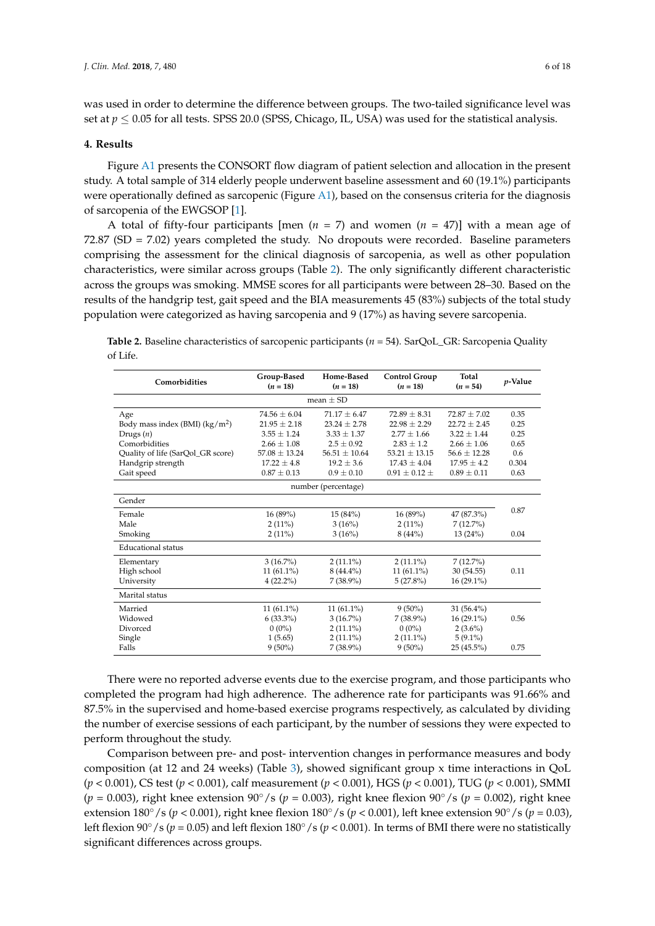was used in order to determine the difference between groups. The two-tailed significance level was set at  $p \leq 0.05$  for all tests. SPSS 20.0 (SPSS, Chicago, IL, USA) was used for the statistical analysis.

#### **4. Results**

Figure [A1](#page-13-8) presents the CONSORT flow diagram of patient selection and allocation in the present study. A total sample of 314 elderly people underwent baseline assessment and 60 (19.1%) participants were operationally defined as sarcopenic (Figure  $A1$ ), based on the consensus criteria for the diagnosis of sarcopenia of the EWGSOP [\[1\]](#page-13-0).

A total of fifty-four participants [men (*n* = 7) and women (*n* = 47)] with a mean age of 72.87 (SD = 7.02) years completed the study. No dropouts were recorded. Baseline parameters comprising the assessment for the clinical diagnosis of sarcopenia, as well as other population characteristics, were similar across groups (Table [2\)](#page-5-0). The only significantly different characteristic across the groups was smoking. MMSE scores for all participants were between 28–30. Based on the results of the handgrip test, gait speed and the BIA measurements 45 (83%) subjects of the total study population were categorized as having sarcopenia and 9 (17%) as having severe sarcopenia.

<span id="page-5-0"></span>**Table 2.** Baseline characteristics of sarcopenic participants (*n* = 54). SarQoL\_GR: Sarcopenia Quality of Life.

| Comorbidities                     | Group-Based<br>$(n = 18)$ | Home-Based<br>$(n = 18)$ | <b>Control Group</b><br>$(n = 18)$ | Total<br>$(n = 54)$ | <i>p</i> -Value |  |
|-----------------------------------|---------------------------|--------------------------|------------------------------------|---------------------|-----------------|--|
| mean $\pm$ SD                     |                           |                          |                                    |                     |                 |  |
| Age                               | $74.56 \pm 6.04$          | $71.17 \pm 6.47$         | $72.89 + 8.31$                     | $72.87 \pm 7.02$    | 0.35            |  |
| Body mass index (BMI) $(kg/m^2)$  | $21.95 \pm 2.18$          | $23.24 \pm 2.78$         | $22.98 \pm 2.29$                   | $22.72 \pm 2.45$    | 0.25            |  |
| Drugs $(n)$                       | $3.55 \pm 1.24$           | $3.33 \pm 1.37$          | $2.77 \pm 1.66$                    | $3.22 + 1.44$       | 0.25            |  |
| Comorbidities                     | $2.66 \pm 1.08$           | $2.5 \pm 0.92$           | $2.83 \pm 1.2$                     | $2.66 \pm 1.06$     | 0.65            |  |
| Quality of life (SarQol_GR score) | $57.08 \pm 13.24$         | $56.51 \pm 10.64$        | $53.21 \pm 13.15$                  | $56.6 \pm 12.28$    | 0.6             |  |
| Handgrip strength                 | $17.22 \pm 4.8$           | $19.2 \pm 3.6$           | $17.43 + 4.04$                     | $17.95 \pm 4.2$     | 0.304           |  |
| Gait speed                        | $0.87 \pm 0.13$           | $0.9 \pm 0.10$           | $0.91 \pm 0.12 \pm$                | $0.89 \pm 0.11$     | 0.63            |  |
|                                   |                           | number (percentage)      |                                    |                     |                 |  |
| Gender                            |                           |                          |                                    |                     |                 |  |
| Female                            | $16(89\%)$                | 15(84%)                  | 16(89%)                            | 47 (87.3%)          | 0.87            |  |
| Male                              | $2(11\%)$                 | 3(16%)                   | $2(11\%)$                          | 7(12.7%)            |                 |  |
| Smoking                           | $2(11\%)$                 | 3(16%)                   | 8(44%)                             | 13(24%)             | 0.04            |  |
| <b>Educational</b> status         |                           |                          |                                    |                     |                 |  |
| Elementary                        | $3(16.7\%)$               | $2(11.1\%)$              | $2(11.1\%)$                        | 7(12.7%)            |                 |  |
| High school                       | $11(61.1\%)$              | $8(44.4\%)$              | $11(61.1\%)$                       | 30(54.55)           | 0.11            |  |
| University                        | $4(22.2\%)$               | $7(38.9\%)$              | 5(27.8%)                           | $16(29.1\%)$        |                 |  |
| Marital status                    |                           |                          |                                    |                     |                 |  |
| Married                           | $11(61.1\%)$              | $11(61.1\%)$             | $9(50\%)$                          | $31(56.4\%)$        |                 |  |
| Widowed                           | $6(33.3\%)$               | $3(16.7\%)$              | $7(38.9\%)$                        | $16(29.1\%)$        | 0.56            |  |
| Divorced                          | $0(0\%)$                  | $2(11.1\%)$              | $0(0\%)$                           | $2(3.6\%)$          |                 |  |
| Single                            | 1(5.65)                   | $2(11.1\%)$              | $2(11.1\%)$                        | $5(9.1\%)$          |                 |  |
| Falls                             | $9(50\%)$                 | $7(38.9\%)$              | $9(50\%)$                          | $25(45.5\%)$        | 0.75            |  |

There were no reported adverse events due to the exercise program, and those participants who completed the program had high adherence. The adherence rate for participants was 91.66% and 87.5% in the supervised and home-based exercise programs respectively, as calculated by dividing the number of exercise sessions of each participant, by the number of sessions they were expected to perform throughout the study.

Comparison between pre- and post- intervention changes in performance measures and body composition (at 12 and 24 weeks) (Table [3\)](#page-7-0), showed significant group x time interactions in QoL (*p* < 0.001), CS test (*p* < 0.001), calf measurement (*p* < 0.001), HGS (*p* < 0.001), TUG (*p* < 0.001), SMMI (*p* = 0.003), right knee extension 90◦/s (*p* = 0.003), right knee flexion 90◦/s (*p* = 0.002), right knee extension 180◦/s (*p* < 0.001), right knee flexion 180◦/s (*p* < 0.001), left knee extension 90◦/s (*p* = 0.03), left flexion 90◦/s (*p* = 0.05) and left flexion 180◦/s (*p* < 0.001). In terms of BMI there were no statistically significant differences across groups.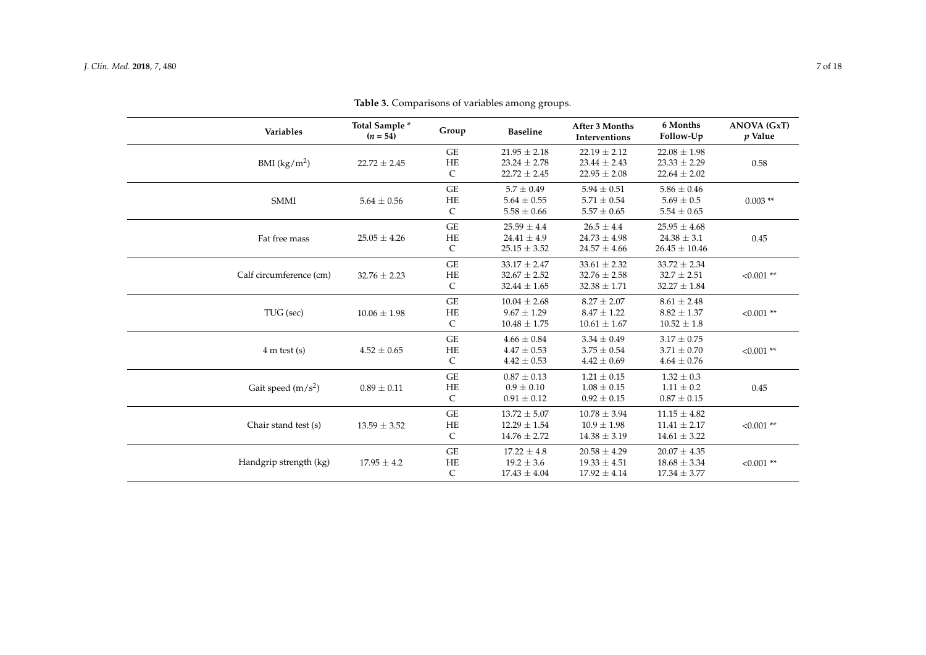| Variables               | Total Sample *<br>$(n = 54)$ | Group        | <b>Baseline</b>  | <b>After 3 Months</b><br><b>Interventions</b> | 6 Months<br>Follow-Up | <b>ANOVA (GxT)</b><br>$p$ Value |
|-------------------------|------------------------------|--------------|------------------|-----------------------------------------------|-----------------------|---------------------------------|
|                         |                              | <b>GE</b>    | $21.95 \pm 2.18$ | $22.19 \pm 2.12$                              | $22.08 \pm 1.98$      |                                 |
| BMI $(kg/m2)$           | $22.72 \pm 2.45$             | HE           | $23.24 \pm 2.78$ | $23.44 \pm 2.43$                              | $23.33 \pm 2.29$      | 0.58                            |
|                         |                              | $\mathsf C$  | $22.72 \pm 2.45$ | $22.95 \pm 2.08$                              | $22.64 \pm 2.02$      |                                 |
|                         |                              | <b>GE</b>    | $5.7 \pm 0.49$   | $5.94 \pm 0.51$                               | $5.86 \pm 0.46$       |                                 |
| <b>SMMI</b>             | $5.64\pm0.56$                | HE           | $5.64 \pm 0.55$  | $5.71 \pm 0.54$                               | $5.69 \pm 0.5$        | $0.003$ **                      |
|                         |                              | $\mathsf{C}$ | $5.58 \pm 0.66$  | $5.57 \pm 0.65$                               | $5.54 \pm 0.65$       |                                 |
|                         |                              | <b>GE</b>    | $25.59 \pm 4.4$  | $26.5 \pm 4.4$                                | $25.95 \pm 4.68$      |                                 |
| Fat free mass           | $25.05 \pm 4.26$             | HE           | $24.41 \pm 4.9$  | $24.73 \pm 4.98$                              | $24.38 \pm 3.1$       | 0.45                            |
|                         |                              | $\mathsf{C}$ | $25.15 \pm 3.52$ | $24.57 \pm 4.66$                              | $26.45 \pm 10.46$     |                                 |
|                         |                              | <b>GE</b>    | $33.17 \pm 2.47$ | $33.61 \pm 2.32$                              | $33.72 \pm 2.34$      |                                 |
| Calf circumference (cm) | $32.76 \pm 2.23$             | HE           | $32.67 \pm 2.52$ | $32.76 \pm 2.58$                              | $32.7 \pm 2.51$       | $< 0.001$ **                    |
|                         |                              | C            | $32.44 \pm 1.65$ | $32.38 \pm 1.71$                              | $32.27 \pm 1.84$      |                                 |
|                         |                              | <b>GE</b>    | $10.04 \pm 2.68$ | $8.27 \pm 2.07$                               | $8.61 \pm 2.48$       |                                 |
| TUG (sec)               | $10.06 \pm 1.98$             | HE           | $9.67 \pm 1.29$  | $8.47 \pm 1.22$                               | $8.82 \pm 1.37$       | $< 0.001$ **                    |
|                         |                              | $\mathsf{C}$ | $10.48 \pm 1.75$ | $10.61 \pm 1.67$                              | $10.52 \pm 1.8$       |                                 |
|                         |                              | <b>GE</b>    | $4.66 \pm 0.84$  | $3.34 \pm 0.49$                               | $3.17 \pm 0.75$       |                                 |
| 4 m test(s)             | $4.52 \pm 0.65$              | HE           | $4.47 \pm 0.53$  | $3.75 \pm 0.54$                               | $3.71 \pm 0.70$       | $< 0.001$ **                    |
|                         |                              | $\mathsf{C}$ | $4.42 \pm 0.53$  | $4.42 \pm 0.69$                               | $4.64 \pm 0.76$       |                                 |
|                         |                              | <b>GE</b>    | $0.87 \pm 0.13$  | $1.21 \pm 0.15$                               | $1.32 \pm 0.3$        |                                 |
| Gait speed $(m/s^2)$    | $0.89 \pm 0.11$              | HE           | $0.9 \pm 0.10$   | $1.08 \pm 0.15$                               | $1.11 \pm 0.2$        | 0.45                            |
|                         |                              | C            | $0.91 \pm 0.12$  | $0.92 \pm 0.15$                               | $0.87 \pm 0.15$       |                                 |
|                         |                              | <b>GE</b>    | $13.72 \pm 5.07$ | $10.78 \pm 3.94$                              | $11.15 \pm 4.82$      |                                 |
| Chair stand test (s)    | $13.59 \pm 3.52$             | HE           | $12.29 \pm 1.54$ | $10.9 \pm 1.98$                               | $11.41 \pm 2.17$      | $< 0.001$ **                    |
|                         |                              | $\mathsf{C}$ | $14.76 \pm 2.72$ | $14.38 \pm 3.19$                              | $14.61 \pm 3.22$      |                                 |
|                         |                              | <b>GE</b>    | $17.22 \pm 4.8$  | $20.58 \pm 4.29$                              | $20.07 \pm 4.35$      |                                 |
| Handgrip strength (kg)  | $17.95 \pm 4.2$              | HE           | $19.2 \pm 3.6$   | $19.33 \pm 4.51$                              | $18.68 \pm 3.34$      | $< 0.001$ **                    |
|                         |                              | C            | $17.43 \pm 4.04$ | $17.92 \pm 4.14$                              | $17.34 \pm 3.77$      |                                 |

**Table 3.** Comparisons of variables among groups.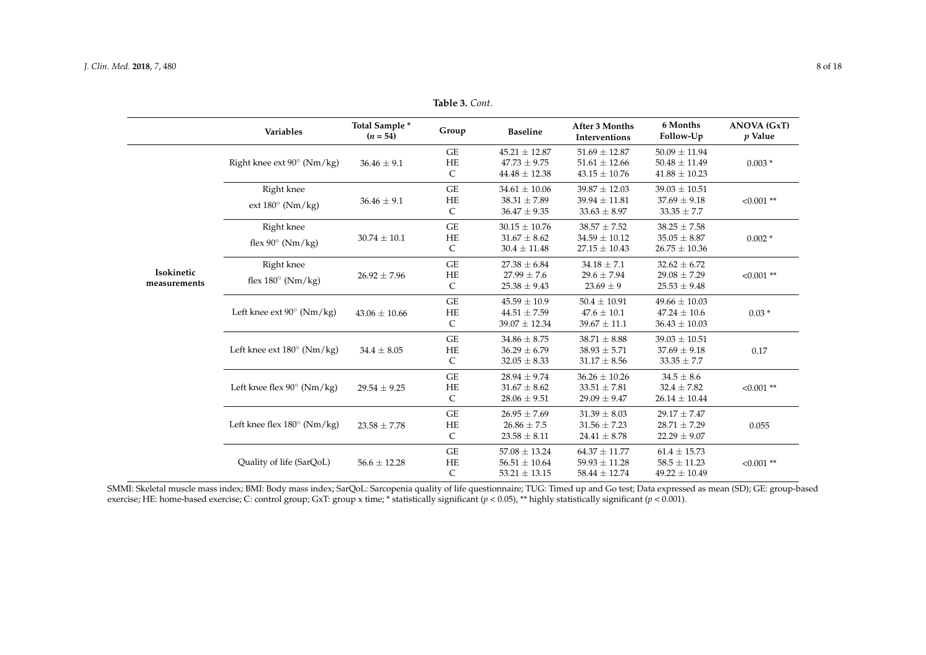**6 Months**

**ANOVA (GxT)**

**Variables Total Sample \* Group Baseline After 3 Months Interventions (***n* **= 54)** *p* **Value Follow-Up** Right knee ext 90◦  $36.46 + 9.1$ GE  $45.21 \pm 12.87$   $51.69 \pm 12.87$   $50.09 \pm 11.94$ <br>HE  $47.73 \pm 9.75$   $51.61 \pm 12.66$   $50.48 \pm 11.49$  $36.46 \pm 9.1$ 

**Table 3.** *Cont.*

|                            | Right knee ext 90° (Nm/kg)             | $36.46 \pm 9.1$   | HE<br>C                  | $47.73 \pm 9.75$<br>$44.48 \pm 12.38$                       | $51.61 \pm 12.66$<br>$43.15 \pm 10.76$                      | $50.48 \pm 11.49$<br>$41.88 \pm 10.23$                     | $0.003*$     |
|----------------------------|----------------------------------------|-------------------|--------------------------|-------------------------------------------------------------|-------------------------------------------------------------|------------------------------------------------------------|--------------|
|                            | Right knee<br>ext $180^\circ$ (Nm/kg)  | $36.46 \pm 9.1$   | GE<br>HE                 | $34.61 \pm 10.06$<br>$38.31 \pm 7.89$                       | $39.87 \pm 12.03$<br>$39.94 \pm 11.81$                      | $39.03 \pm 10.51$<br>$37.69 \pm 9.18$                      | $0.001**$    |
|                            | Right knee                             |                   | C<br>GE                  | $36.47 \pm 9.35$<br>$30.15 \pm 10.76$                       | $33.63 \pm 8.97$<br>$38.57 \pm 7.52$                        | $33.35 \pm 7.7$<br>$38.25 \pm 7.58$                        |              |
|                            | flex $90^\circ$ (Nm/kg)                | $30.74 \pm 10.1$  | HE<br>C                  | $31.67 \pm 8.62$<br>$30.4 \pm 11.48$                        | $34.59 \pm 10.12$<br>$27.15 \pm 10.43$                      | $35.05 \pm 8.87$<br>$26.75 \pm 10.36$                      | $0.002*$     |
| Isokinetic<br>measurements | Right knee<br>flex $180^\circ$ (Nm/kg) | $26.92 \pm 7.96$  | GE<br>HE<br>$\mathsf{C}$ | $27.38 \pm 6.84$<br>$27.99 \pm 7.6$<br>$25.38 \pm 9.43$     | $34.18 \pm 7.1$<br>$29.6 \pm 7.94$<br>$23.69 \pm 9$         | $32.62 \pm 6.72$<br>$29.08 \pm 7.29$<br>$25.53 \pm 9.48$   | $< 0.001$ ** |
|                            | Left knee ext $90^{\circ}$ (Nm/kg)     | $43.06 \pm 10.66$ | GE<br>HE<br>C            | $45.59 \pm 10.9$<br>$44.51 \pm 7.59$<br>$39.07 \pm 12.34$   | $50.4 \pm 10.91$<br>$47.6 \pm 10.1$<br>$39.67 \pm 11.1$     | $49.66 \pm 10.03$<br>$47.24 \pm 10.6$<br>$36.43 \pm 10.03$ | $0.03*$      |
|                            | Left knee ext $180^\circ$ (Nm/kg)      | $34.4 \pm 8.05$   | GE<br>HE<br>C            | $34.86 \pm 8.75$<br>$36.29 \pm 6.79$<br>$32.05 \pm 8.33$    | $38.71 \pm 8.88$<br>$38.93 \pm 5.71$<br>$31.17 \pm 8.56$    | $39.03 \pm 10.51$<br>$37.69 \pm 9.18$<br>$33.35 \pm 7.7$   | 0.17         |
|                            | Left knee flex $90^{\circ}$ (Nm/kg)    | $29.54 \pm 9.25$  | GE<br>HE<br>$\mathsf{C}$ | $28.94 \pm 9.74$<br>$31.67 \pm 8.62$<br>$28.06 \pm 9.51$    | $36.26 \pm 10.26$<br>$33.51 \pm 7.81$<br>$29.09 \pm 9.47$   | $34.5 \pm 8.6$<br>$32.4 \pm 7.82$<br>$26.14 \pm 10.44$     | $< 0.001$ ** |
|                            | Left knee flex $180^\circ$ (Nm/kg)     | $23.58 \pm 7.78$  | GE<br>HE<br>C            | $26.95 \pm 7.69$<br>$26.86 \pm 7.5$<br>$23.58 \pm 8.11$     | $31.39 \pm 8.03$<br>$31.56 \pm 7.23$<br>$24.41 \pm 8.78$    | $29.17 \pm 7.47$<br>$28.71 \pm 7.29$<br>$22.29 \pm 9.07$   | 0.055        |
|                            | Quality of life (SarQoL)               | $56.6 \pm 12.28$  | GE<br>HE<br>C            | $57.08 \pm 13.24$<br>$56.51 \pm 10.64$<br>$53.21 \pm 13.15$ | $64.37 \pm 11.77$<br>$59.93 \pm 11.28$<br>$58.44 \pm 12.74$ | $61.4 \pm 15.73$<br>$58.5 \pm 11.23$<br>$49.22 \pm 10.49$  | $< 0.001$ ** |

<span id="page-7-0"></span>SMMI: Skeletal muscle mass index; BMI: Body mass index; SarQoL: Sarcopenia quality of life questionnaire; TUG: Timed up and Go test; Data expressed as mean (SD); GE: group-based exercise; HE: home-based exercise; C: control group; GxT: group x time; \* statistically significant (*p* < 0.05), \*\* highly statistically significant (*p* < 0.001).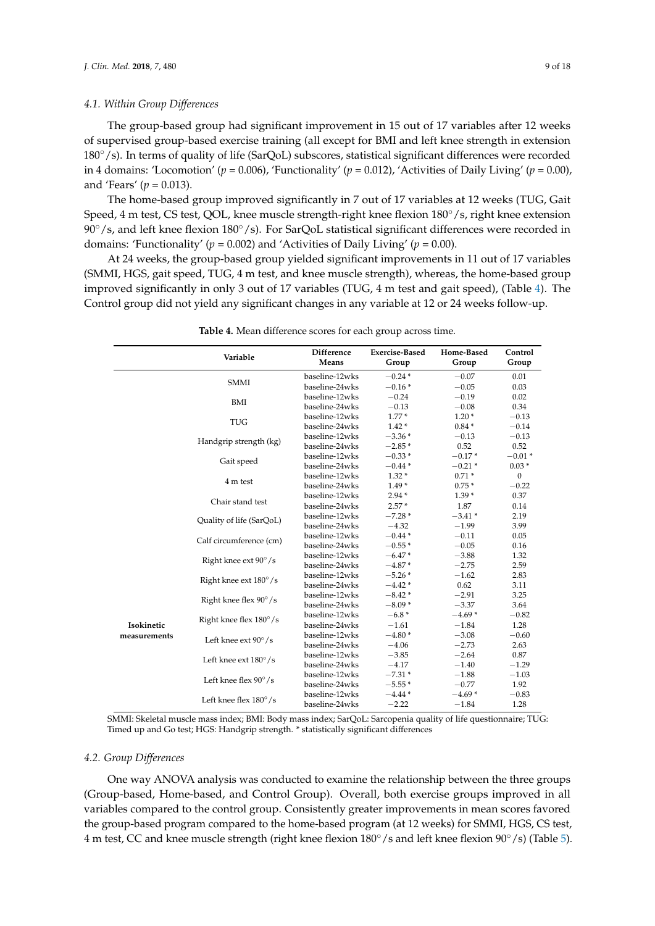The group-based group had significant improvement in 15 out of 17 variables after 12 weeks of supervised group-based exercise training (all except for BMI and left knee strength in extension 180◦/s). In terms of quality of life (SarQoL) subscores, statistical significant differences were recorded in 4 domains: 'Locomotion' ( $p = 0.006$ ), 'Functionality' ( $p = 0.012$ ), 'Activities of Daily Living' ( $p = 0.00$ ), and 'Fears' ( $p = 0.013$ ).

The home-based group improved significantly in 7 out of 17 variables at 12 weeks (TUG, Gait Speed, 4 m test, CS test, QOL, knee muscle strength-right knee flexion 180◦/s, right knee extension 90◦/s, and left knee flexion 180◦/s). For SarQoL statistical significant differences were recorded in domains: 'Functionality' (*p* = 0.002) and 'Activities of Daily Living' (*p* = 0.00).

At 24 weeks, the group-based group yielded significant improvements in 11 out of 17 variables (SMMI, HGS, gait speed, TUG, 4 m test, and knee muscle strength), whereas, the home-based group improved significantly in only 3 out of 17 variables (TUG, 4 m test and gait speed), (Table [4\)](#page-8-0). The Control group did not yield any significant changes in any variable at 12 or 24 weeks follow-up.

<span id="page-8-0"></span>

|              | Variable                        | <b>Difference</b><br>Means | <b>Exercise-Based</b><br>Group | Home-Based<br>Group | Control<br>Group |
|--------------|---------------------------------|----------------------------|--------------------------------|---------------------|------------------|
|              |                                 | baseline-12wks             | $-0.24*$                       | $-0.07$             | 0.01             |
|              | <b>SMMI</b>                     | baseline-24wks             | $-0.16*$                       | $-0.05$             | 0.03             |
|              |                                 | baseline-12wks             | $-0.24$                        | $-0.19$             | 0.02             |
|              | BMI                             | baseline-24wks             | $-0.13$                        | $-0.08$             | 0.34             |
|              | <b>TUG</b>                      | baseline-12wks             | $1.77*$                        | $1.20*$             | $-0.13$          |
|              |                                 | baseline-24wks             | $1.42*$                        | $0.84*$             | $-0.14$          |
|              | Handgrip strength (kg)          | baseline-12wks             | $-3.36*$                       | $-0.13$             | $-0.13$          |
|              |                                 | baseline-24wks             | $-2.85*$                       | 0.52                | 0.52             |
|              | Gait speed                      | baseline-12wks             | $-0.33*$                       | $-0.17*$            | $-0.01*$         |
|              |                                 | baseline-24wks             | $-0.44*$                       | $-0.21*$            | $0.03*$          |
|              | 4 m test                        | baseline-12wks             | $1.32*$                        | $0.71*$             | $\mathbf{0}$     |
|              |                                 | baseline-24wks             | $1.49*$                        | $0.75*$             | $-0.22$          |
|              | Chair stand test                | baseline-12wks             | $2.94*$                        | $1.39*$             | 0.37             |
|              |                                 | baseline-24wks             | $2.57*$                        | 1.87                | 0.14             |
|              | Quality of life (SarQoL)        | baseline-12wks             | $-7.28*$                       | $-3.41*$            | 2.19             |
|              |                                 | baseline-24wks             | $-4.32$                        | $-1.99$             | 3.99             |
|              | Calf circumference (cm)         | baseline-12wks             | $-0.44*$                       | $-0.11$             | 0.05             |
|              |                                 | baseline-24wks             | $-0.55*$                       | $-0.05$             | 0.16             |
|              | Right knee ext 90°/s            | baseline-12wks             | $-6.47*$                       | $-3.88$             | 1.32             |
|              |                                 | baseline-24wks             | $-4.87*$                       | $-2.75$             | 2.59             |
|              | Right knee ext 180°/s           | baseline-12wks             | $-5.26*$                       | $-1.62$             | 2.83             |
|              |                                 | baseline-24wks             | $-4.42*$                       | 0.62                | 3.11             |
|              | Right knee flex $90^{\circ}/s$  | baseline-12wks             | $-8.42*$                       | $-2.91$             | 3.25             |
|              |                                 | baseline-24wks             | $-8.09*$                       | $-3.37$             | 3.64             |
|              | Right knee flex $180^{\circ}/s$ | baseline-12wks             | $-6.8*$                        | $-4.69*$            | $-0.82$          |
| Isokinetic   |                                 | baseline-24wks             | $-1.61$                        | $-1.84$             | 1.28             |
| measurements | Left knee ext $90^{\circ}/s$    | baseline-12wks             | $-4.80*$                       | $-3.08$             | $-0.60$          |
|              |                                 | baseline-24wks             | $-4.06$                        | $-2.73$             | 2.63             |
|              | Left knee ext $180^\circ$ /s    | baseline-12wks             | $-3.85$                        | $-2.64$             | 0.87             |
|              |                                 | baseline-24wks             | $-4.17$                        | $-1.40$             | $-1.29$          |
|              | Left knee flex $90^{\circ}/s$   | baseline-12wks             | $-7.31*$                       | $-1.88$             | $-1.03$          |
|              |                                 | baseline-24wks             | $-5.55*$                       | $-0.77$             | 1.92             |
|              | Left knee flex $180^\circ$ /s   | baseline-12wks             | $-4.44*$                       | $-4.69*$            | $-0.83$          |
|              |                                 | baseline-24wks             | $-2.22$                        | $-1.84$             | 1.28             |

**Table 4.** Mean difference scores for each group across time.

SMMI: Skeletal muscle mass index; BMI: Body mass index; SarQoL: Sarcopenia quality of life questionnaire; TUG: Timed up and Go test; HGS: Handgrip strength. \* statistically significant differences

#### *4.2. Group Differences*

One way ANOVA analysis was conducted to examine the relationship between the three groups (Group-based, Home-based, and Control Group). Overall, both exercise groups improved in all variables compared to the control group. Consistently greater improvements in mean scores favored the group-based program compared to the home-based program (at 12 weeks) for SMMI, HGS, CS test, 4 m test, CC and knee muscle strength (right knee flexion 180◦/s and left knee flexion 90◦/s) (Table [5\)](#page-9-0).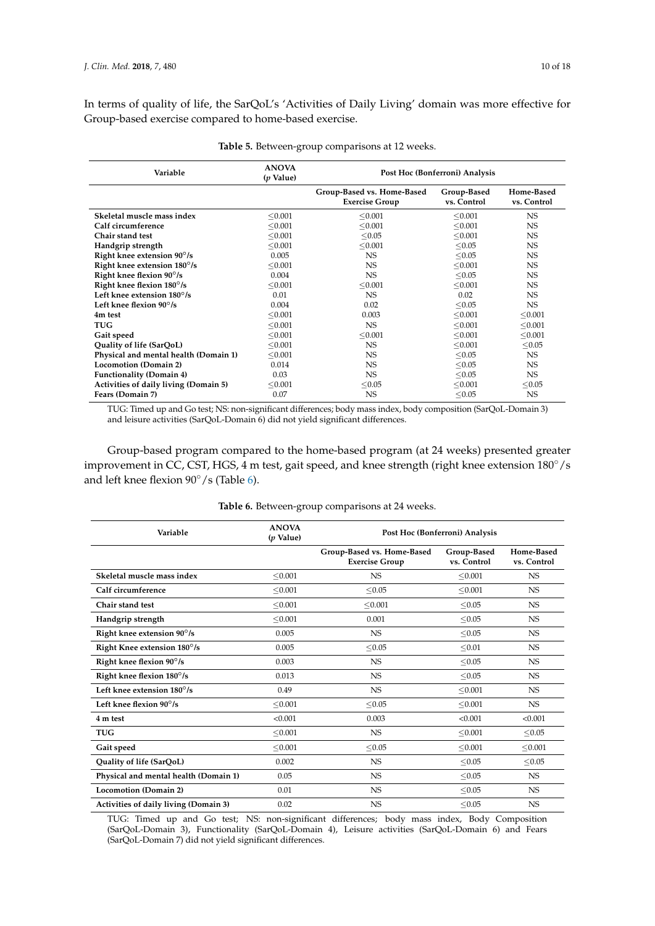In terms of quality of life, the SarQoL's 'Activities of Daily Living' domain was more effective for Group-based exercise compared to home-based exercise.

<span id="page-9-0"></span>

| Variable                              | <b>ANOVA</b><br>$(p$ Value) | Post Hoc (Bonferroni) Analysis                      |                            |                           |  |  |
|---------------------------------------|-----------------------------|-----------------------------------------------------|----------------------------|---------------------------|--|--|
|                                       |                             | Group-Based vs. Home-Based<br><b>Exercise Group</b> | Group-Based<br>vs. Control | Home-Based<br>vs. Control |  |  |
| Skeletal muscle mass index            | < 0.001                     | < 0.001                                             | < 0.001                    | NS                        |  |  |
| Calf circumference                    | < 0.001                     | < 0.001                                             | < 0.001                    | NS.                       |  |  |
| Chair stand test                      | < 0.001                     | < 0.05                                              | < 0.001                    | <b>NS</b>                 |  |  |
| Handgrip strength                     | < 0.001                     | < 0.001                                             | < 0.05                     | <b>NS</b>                 |  |  |
| Right knee extension $90^{\circ}/s$   | 0.005                       | <b>NS</b>                                           | < 0.05                     | <b>NS</b>                 |  |  |
| Right knee extension $180^{\circ}/s$  | < 0.001                     | NS                                                  | < 0.001                    | NS                        |  |  |
| Right knee flexion 90°/s              | 0.004                       | NS.                                                 | < 0.05                     | NS.                       |  |  |
| Right knee flexion 180°/s             | < 0.001                     | < 0.001                                             | < 0.001                    | <b>NS</b>                 |  |  |
| Left knee extension $180^\circ$ /s    | 0.01                        | <b>NS</b>                                           | 0.02                       | <b>NS</b>                 |  |  |
| Left knee flexion $90^\circ$ /s       | 0.004                       | 0.02                                                | < 0.05                     | <b>NS</b>                 |  |  |
| 4m test                               | < 0.001                     | 0.003                                               | < 0.001                    | < 0.001                   |  |  |
| <b>TUG</b>                            | < 0.001                     | <b>NS</b>                                           | < 0.001                    | < 0.001                   |  |  |
| Gait speed                            | < 0.001                     | < 0.001                                             | < 0.001                    | < 0.001                   |  |  |
| Quality of life (SarQoL)              | < 0.001                     | NS.                                                 | < 0.001                    | < 0.05                    |  |  |
| Physical and mental health (Domain 1) | < 0.001                     | NS                                                  | < 0.05                     | <b>NS</b>                 |  |  |
| <b>Locomotion</b> (Domain 2)          | 0.014                       | <b>NS</b>                                           | < 0.05                     | <b>NS</b>                 |  |  |
| <b>Functionality (Domain 4)</b>       | 0.03                        | <b>NS</b>                                           | < 0.05                     | <b>NS</b>                 |  |  |
| Activities of daily living (Domain 5) | < 0.001                     | < 0.05                                              | < 0.001                    | < 0.05                    |  |  |
| Fears (Domain 7)                      | 0.07                        | <b>NS</b>                                           | < 0.05                     | <b>NS</b>                 |  |  |

| Table 5. Between-group comparisons at 12 weeks. |  |  |
|-------------------------------------------------|--|--|
|-------------------------------------------------|--|--|

TUG: Timed up and Go test; NS: non-significant differences; body mass index, body composition (SarQoL-Domain 3) and leisure activities (SarQoL-Domain 6) did not yield significant differences.

Group-based program compared to the home-based program (at 24 weeks) presented greater improvement in CC, CST, HGS, 4 m test, gait speed, and knee strength (right knee extension 180°/s and left knee flexion 90◦/s (Table [6\)](#page-9-1).

<span id="page-9-1"></span>

| Variable                              | <b>ANOVA</b><br>(p Value) | Post Hoc (Bonferroni) Analysis                      |                            |                           |  |
|---------------------------------------|---------------------------|-----------------------------------------------------|----------------------------|---------------------------|--|
|                                       |                           | Group-Based vs. Home-Based<br><b>Exercise Group</b> | Group-Based<br>vs. Control | Home-Based<br>vs. Control |  |
| Skeletal muscle mass index            | < 0.001                   | <b>NS</b>                                           | < 0.001                    | <b>NS</b>                 |  |
| Calf circumference                    | < 0.001                   | < 0.05                                              | < 0.001                    | <b>NS</b>                 |  |
| Chair stand test                      | < 0.001                   | < 0.001                                             | < 0.05                     | <b>NS</b>                 |  |
| Handgrip strength                     | < 0.001                   | 0.001                                               | < 0.05                     | <b>NS</b>                 |  |
| Right knee extension 90°/s            | 0.005                     | <b>NS</b>                                           | < 0.05                     | <b>NS</b>                 |  |
| Right Knee extension 180°/s           | 0.005                     | < 0.05                                              | < 0.01                     | <b>NS</b>                 |  |
| Right knee flexion 90°/s              | 0.003                     | <b>NS</b>                                           | < 0.05                     | <b>NS</b>                 |  |
| Right knee flexion 180°/s             | 0.013                     | <b>NS</b>                                           | < 0.05                     | <b>NS</b>                 |  |
| Left knee extension 180°/s            | 0.49                      | <b>NS</b>                                           | < 0.001                    | <b>NS</b>                 |  |
| Left knee flexion 90°/s               | < 0.001                   | < 0.05                                              | < 0.001                    | <b>NS</b>                 |  |
| 4 m test                              | < 0.001                   | 0.003                                               | < 0.001                    | < 0.001                   |  |
| <b>TUG</b>                            | < 0.001                   | <b>NS</b>                                           | < 0.001                    | < 0.05                    |  |
| Gait speed                            | < 0.001                   | < 0.05                                              | < 0.001                    | < 0.001                   |  |
| Quality of life (SarQoL)              | 0.002                     | <b>NS</b>                                           | < 0.05                     | < 0.05                    |  |
| Physical and mental health (Domain 1) | 0.05                      | <b>NS</b>                                           | < 0.05                     | <b>NS</b>                 |  |
| <b>Locomotion (Domain 2)</b>          | 0.01                      | <b>NS</b>                                           | < 0.05                     | <b>NS</b>                 |  |
| Activities of daily living (Domain 3) | 0.02                      | <b>NS</b>                                           | < 0.05                     | <b>NS</b>                 |  |

#### **Table 6.** Between-group comparisons at 24 weeks.

TUG: Timed up and Go test; NS: non-significant differences; body mass index, Body Composition (SarQoL-Domain 3), Functionality (SarQoL-Domain 4), Leisure activities (SarQoL-Domain 6) and Fears (SarQoL-Domain 7) did not yield significant differences.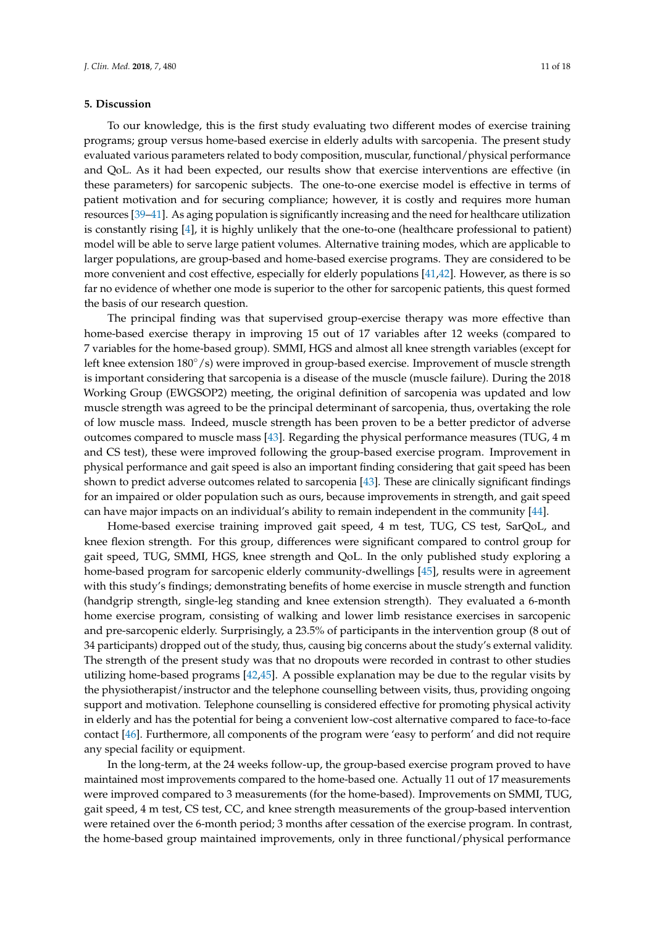#### **5. Discussion**

To our knowledge, this is the first study evaluating two different modes of exercise training programs; group versus home-based exercise in elderly adults with sarcopenia. The present study evaluated various parameters related to body composition, muscular, functional/physical performance and QoL. As it had been expected, our results show that exercise interventions are effective (in these parameters) for sarcopenic subjects. The one-to-one exercise model is effective in terms of patient motivation and for securing compliance; however, it is costly and requires more human resources [\[39](#page-15-12)[–41\]](#page-15-13). As aging population is significantly increasing and the need for healthcare utilization is constantly rising [\[4\]](#page-13-3), it is highly unlikely that the one-to-one (healthcare professional to patient) model will be able to serve large patient volumes. Alternative training modes, which are applicable to larger populations, are group-based and home-based exercise programs. They are considered to be more convenient and cost effective, especially for elderly populations [\[41](#page-15-13)[,42\]](#page-15-14). However, as there is so far no evidence of whether one mode is superior to the other for sarcopenic patients, this quest formed the basis of our research question.

The principal finding was that supervised group-exercise therapy was more effective than home-based exercise therapy in improving 15 out of 17 variables after 12 weeks (compared to 7 variables for the home-based group). SMMI, HGS and almost all knee strength variables (except for left knee extension 180◦/s) were improved in group-based exercise. Improvement of muscle strength is important considering that sarcopenia is a disease of the muscle (muscle failure). During the 2018 Working Group (EWGSOP2) meeting, the original definition of sarcopenia was updated and low muscle strength was agreed to be the principal determinant of sarcopenia, thus, overtaking the role of low muscle mass. Indeed, muscle strength has been proven to be a better predictor of adverse outcomes compared to muscle mass [\[43\]](#page-15-15). Regarding the physical performance measures (TUG, 4 m and CS test), these were improved following the group-based exercise program. Improvement in physical performance and gait speed is also an important finding considering that gait speed has been shown to predict adverse outcomes related to sarcopenia [\[43\]](#page-15-15). These are clinically significant findings for an impaired or older population such as ours, because improvements in strength, and gait speed can have major impacts on an individual's ability to remain independent in the community [\[44\]](#page-16-0).

Home-based exercise training improved gait speed, 4 m test, TUG, CS test, SarQoL, and knee flexion strength. For this group, differences were significant compared to control group for gait speed, TUG, SMMI, HGS, knee strength and QoL. In the only published study exploring a home-based program for sarcopenic elderly community-dwellings [\[45\]](#page-16-1), results were in agreement with this study's findings; demonstrating benefits of home exercise in muscle strength and function (handgrip strength, single-leg standing and knee extension strength). They evaluated a 6-month home exercise program, consisting of walking and lower limb resistance exercises in sarcopenic and pre-sarcopenic elderly. Surprisingly, a 23.5% of participants in the intervention group (8 out of 34 participants) dropped out of the study, thus, causing big concerns about the study's external validity. The strength of the present study was that no dropouts were recorded in contrast to other studies utilizing home-based programs [\[42](#page-15-14)[,45\]](#page-16-1). A possible explanation may be due to the regular visits by the physiotherapist/instructor and the telephone counselling between visits, thus, providing ongoing support and motivation. Telephone counselling is considered effective for promoting physical activity in elderly and has the potential for being a convenient low-cost alternative compared to face-to-face contact [\[46\]](#page-16-2). Furthermore, all components of the program were 'easy to perform' and did not require any special facility or equipment.

In the long-term, at the 24 weeks follow-up, the group-based exercise program proved to have maintained most improvements compared to the home-based one. Actually 11 out of 17 measurements were improved compared to 3 measurements (for the home-based). Improvements on SMMI, TUG, gait speed, 4 m test, CS test, CC, and knee strength measurements of the group-based intervention were retained over the 6-month period; 3 months after cessation of the exercise program. In contrast, the home-based group maintained improvements, only in three functional/physical performance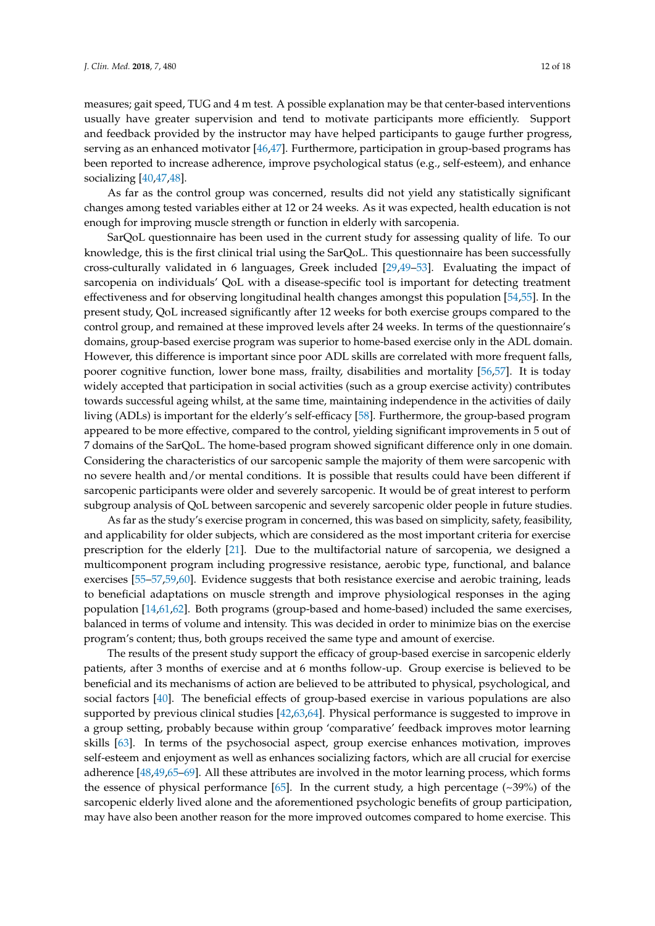measures; gait speed, TUG and 4 m test. A possible explanation may be that center-based interventions usually have greater supervision and tend to motivate participants more efficiently. Support and feedback provided by the instructor may have helped participants to gauge further progress, serving as an enhanced motivator [\[46,](#page-16-2)[47\]](#page-16-3). Furthermore, participation in group-based programs has been reported to increase adherence, improve psychological status (e.g., self-esteem), and enhance socializing [\[40](#page-15-16)[,47,](#page-16-3)[48\]](#page-16-4).

As far as the control group was concerned, results did not yield any statistically significant changes among tested variables either at 12 or 24 weeks. As it was expected, health education is not enough for improving muscle strength or function in elderly with sarcopenia.

SarQoL questionnaire has been used in the current study for assessing quality of life. To our knowledge, this is the first clinical trial using the SarQoL. This questionnaire has been successfully cross-culturally validated in 6 languages, Greek included [\[29,](#page-15-3)[49–](#page-16-5)[53\]](#page-16-6). Evaluating the impact of sarcopenia on individuals' QoL with a disease-specific tool is important for detecting treatment effectiveness and for observing longitudinal health changes amongst this population [\[54](#page-16-7)[,55\]](#page-16-8). In the present study, QoL increased significantly after 12 weeks for both exercise groups compared to the control group, and remained at these improved levels after 24 weeks. In terms of the questionnaire's domains, group-based exercise program was superior to home-based exercise only in the ADL domain. However, this difference is important since poor ADL skills are correlated with more frequent falls, poorer cognitive function, lower bone mass, frailty, disabilities and mortality [\[56](#page-16-9)[,57\]](#page-16-10). It is today widely accepted that participation in social activities (such as a group exercise activity) contributes towards successful ageing whilst, at the same time, maintaining independence in the activities of daily living (ADLs) is important for the elderly's self-efficacy [\[58\]](#page-16-11). Furthermore, the group-based program appeared to be more effective, compared to the control, yielding significant improvements in 5 out of 7 domains of the SarQoL. The home-based program showed significant difference only in one domain. Considering the characteristics of our sarcopenic sample the majority of them were sarcopenic with no severe health and/or mental conditions. It is possible that results could have been different if sarcopenic participants were older and severely sarcopenic. It would be of great interest to perform subgroup analysis of QoL between sarcopenic and severely sarcopenic older people in future studies.

As far as the study's exercise program in concerned, this was based on simplicity, safety, feasibility, and applicability for older subjects, which are considered as the most important criteria for exercise prescription for the elderly [\[21\]](#page-14-7). Due to the multifactorial nature of sarcopenia, we designed a multicomponent program including progressive resistance, aerobic type, functional, and balance exercises [\[55–](#page-16-8)[57,](#page-16-10)[59,](#page-16-12)[60\]](#page-16-13). Evidence suggests that both resistance exercise and aerobic training, leads to beneficial adaptations on muscle strength and improve physiological responses in the aging population [\[14,](#page-14-12)[61,](#page-16-14)[62\]](#page-16-15). Both programs (group-based and home-based) included the same exercises, balanced in terms of volume and intensity. This was decided in order to minimize bias on the exercise program's content; thus, both groups received the same type and amount of exercise.

The results of the present study support the efficacy of group-based exercise in sarcopenic elderly patients, after 3 months of exercise and at 6 months follow-up. Group exercise is believed to be beneficial and its mechanisms of action are believed to be attributed to physical, psychological, and social factors [\[40\]](#page-15-16). The beneficial effects of group-based exercise in various populations are also supported by previous clinical studies [\[42,](#page-15-14)[63,](#page-17-0)[64\]](#page-17-1). Physical performance is suggested to improve in a group setting, probably because within group 'comparative' feedback improves motor learning skills [\[63\]](#page-17-0). In terms of the psychosocial aspect, group exercise enhances motivation, improves self-esteem and enjoyment as well as enhances socializing factors, which are all crucial for exercise adherence [\[48](#page-16-4)[,49](#page-16-5)[,65](#page-17-2)[–69\]](#page-17-3). All these attributes are involved in the motor learning process, which forms the essence of physical performance [\[65\]](#page-17-2). In the current study, a high percentage  $(\sim 39\%)$  of the sarcopenic elderly lived alone and the aforementioned psychologic benefits of group participation, may have also been another reason for the more improved outcomes compared to home exercise. This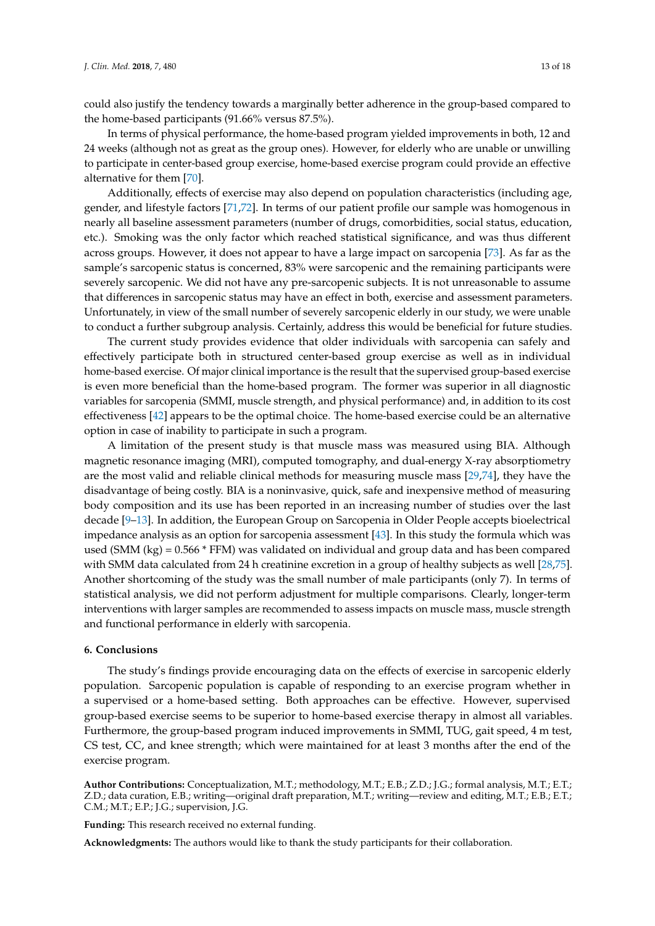could also justify the tendency towards a marginally better adherence in the group-based compared to the home-based participants (91.66% versus 87.5%).

In terms of physical performance, the home-based program yielded improvements in both, 12 and 24 weeks (although not as great as the group ones). However, for elderly who are unable or unwilling to participate in center-based group exercise, home-based exercise program could provide an effective alternative for them [\[70\]](#page-17-4).

Additionally, effects of exercise may also depend on population characteristics (including age, gender, and lifestyle factors [\[71,](#page-17-5)[72\]](#page-17-6). In terms of our patient profile our sample was homogenous in nearly all baseline assessment parameters (number of drugs, comorbidities, social status, education, etc.). Smoking was the only factor which reached statistical significance, and was thus different across groups. However, it does not appear to have a large impact on sarcopenia [\[73\]](#page-17-7). As far as the sample's sarcopenic status is concerned, 83% were sarcopenic and the remaining participants were severely sarcopenic. We did not have any pre-sarcopenic subjects. It is not unreasonable to assume that differences in sarcopenic status may have an effect in both, exercise and assessment parameters. Unfortunately, in view of the small number of severely sarcopenic elderly in our study, we were unable to conduct a further subgroup analysis. Certainly, address this would be beneficial for future studies.

The current study provides evidence that older individuals with sarcopenia can safely and effectively participate both in structured center-based group exercise as well as in individual home-based exercise. Of major clinical importance is the result that the supervised group-based exercise is even more beneficial than the home-based program. The former was superior in all diagnostic variables for sarcopenia (SMMI, muscle strength, and physical performance) and, in addition to its cost effectiveness [\[42\]](#page-15-14) appears to be the optimal choice. The home-based exercise could be an alternative option in case of inability to participate in such a program.

A limitation of the present study is that muscle mass was measured using BIA. Although magnetic resonance imaging (MRI), computed tomography, and dual-energy X-ray absorptiometry are the most valid and reliable clinical methods for measuring muscle mass [\[29,](#page-15-3)[74\]](#page-17-8), they have the disadvantage of being costly. BIA is a noninvasive, quick, safe and inexpensive method of measuring body composition and its use has been reported in an increasing number of studies over the last decade [\[9–](#page-14-13)[13\]](#page-14-14). In addition, the European Group on Sarcopenia in Older People accepts bioelectrical impedance analysis as an option for sarcopenia assessment [\[43\]](#page-15-15). In this study the formula which was used (SMM (kg) = 0.566 \* FFM) was validated on individual and group data and has been compared with SMM data calculated from 24 h creatinine excretion in a group of healthy subjects as well [\[28](#page-15-2)[,75\]](#page-17-9). Another shortcoming of the study was the small number of male participants (only 7). In terms of statistical analysis, we did not perform adjustment for multiple comparisons. Clearly, longer-term interventions with larger samples are recommended to assess impacts on muscle mass, muscle strength and functional performance in elderly with sarcopenia.

#### **6. Conclusions**

The study's findings provide encouraging data on the effects of exercise in sarcopenic elderly population. Sarcopenic population is capable of responding to an exercise program whether in a supervised or a home-based setting. Both approaches can be effective. However, supervised group-based exercise seems to be superior to home-based exercise therapy in almost all variables. Furthermore, the group-based program induced improvements in SMMI, TUG, gait speed, 4 m test, CS test, CC, and knee strength; which were maintained for at least 3 months after the end of the exercise program.

**Author Contributions:** Conceptualization, M.T.; methodology, M.T.; E.B.; Z.D.; J.G.; formal analysis, M.T.; E.T.; Z.D.; data curation, E.B.; writing—original draft preparation, M.T.; writing—review and editing, M.T.; E.B.; E.T.; C.M.; M.T.; E.P.; J.G.; supervision, J.G.

**Funding:** This research received no external funding.

**Acknowledgments:** The authors would like to thank the study participants for their collaboration.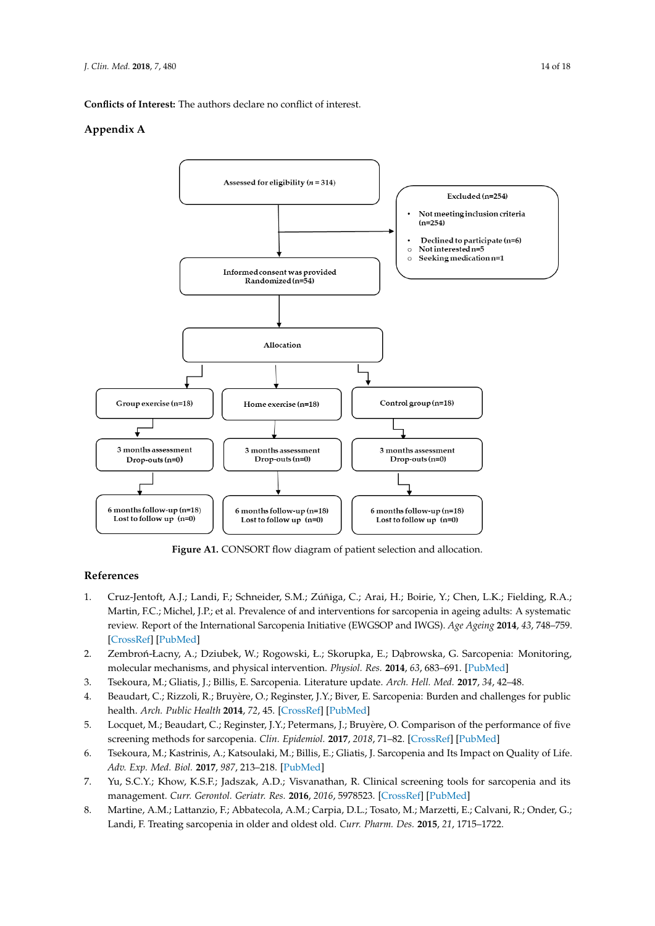**Conflicts of Interest:** The authors declare no conflict of interest.

#### **Appendix A Conflicts of Interest:** The authors declare no conflict of interest.

<span id="page-13-8"></span>

**Figure A1.** CONSORT flow diagram of patient selection and allocation. **Figure A1.** CONSORT flow diagram of patient selection and allocation.

#### **References References**

- <span id="page-13-0"></span>Martin, F.C.; Michel, J.P.; et al. Prevalence of and interventions for sarcopenia in ageing adults: A systematic Martin, F.C.; Michel, J.P.; et al. Previousles of and interventions for sarcopenia in ageing adults: A F10 systematic review. Report of the International Sarcopenia Initiative (EWGSOP and IWGS). *Age Ageing* review. Report of the International Sarcopenia Initiative (EWGSOP and IWGS). *Age Ageing* **2014**, *43*, 748–759. **2014**, *43*, 748–759. [\[CrossRef\]](http://dx.doi.org/10.1093/ageing/afu115) [\[PubMed\]](http://www.ncbi.nlm.nih.gov/pubmed/25241753) 1. Cruz-Jentoft, A.J.; Landi, F.; Schneider, S.M.; Zúñiga, C.; Arai, H.; Boirie, Y.; Chen, L.K.; Fielding, R.A.;
- <span id="page-13-1"></span>2. Zembroń-Łacny, A.; Dziubek, W.; Rogowski, Ł.; Skorupka, E.; Dąbrowska, G. Sarcopenia: Monitoring, molecular mechanisms, and physical intervention. *Physiol. Res.* **2014**, *63*, 683–691. [\[PubMed\]](http://www.ncbi.nlm.nih.gov/pubmed/25157651)
- <span id="page-13-2"></span>3. Tsekoura, M.; Gliatis, J.; Billis, E. Sarcopenia. Literature update. *Arch. Hell. Med.* **2017**, *34*, 42–48.
- <span id="page-13-3"></span>4. Beaudart, C.; Rizzoli, R.; Bruyère, O.; Reginster, J.Y.; Biver, E. Sarcopenia: Burden and challenges for public health. *Arch. Public Health* **2014**, *72*, 45. [\[CrossRef\]](http://dx.doi.org/10.1186/2049-3258-72-45) [\[PubMed\]](http://www.ncbi.nlm.nih.gov/pubmed/25810912)
- <span id="page-13-4"></span>5. Locquet, M.; Beaudart, C.; Reginster, J.Y.; Petermans, J.; Bruyère, O. Comparison of the performance of five screening methods for sarcopenia. *Clin. Epidemiol.* **2017**, *2018*, 71–82. [\[CrossRef\]](http://dx.doi.org/10.2147/CLEP.S148638) [\[PubMed\]](http://www.ncbi.nlm.nih.gov/pubmed/29343989)
- <span id="page-13-5"></span>6. Tsekoura, M.; Kastrinis, A.; Katsoulaki, M.; Billis, E.; Gliatis, J. Sarcopenia and Its Impact on Quality of Life. *Adv. Exp. Med. Biol.* **2017**, *987*, 213–218. [\[PubMed\]](http://www.ncbi.nlm.nih.gov/pubmed/28971460)
- <span id="page-13-6"></span>7. Yu, S.C.Y.; Khow, K.S.F.; Jadszak, A.D.; Visvanathan, R. Clinical screening tools for sarcopenia and its management. *Curr. Gerontol. Geriatr. Res.* **2016**, *2016*, 5978523. [\[CrossRef\]](http://dx.doi.org/10.1155/2016/5978523) [\[PubMed\]](http://www.ncbi.nlm.nih.gov/pubmed/26966433)
- <span id="page-13-7"></span>8. Martine, A.M.; Lattanzio, F.; Abbatecola, A.M.; Carpia, D.L.; Tosato, M.; Marzetti, E.; Calvani, R.; Onder, G.; Landi, F. Treating sarcopenia in older and oldest old. *Curr. Pharm. Des.* **2015**, *21*, 1715–1722.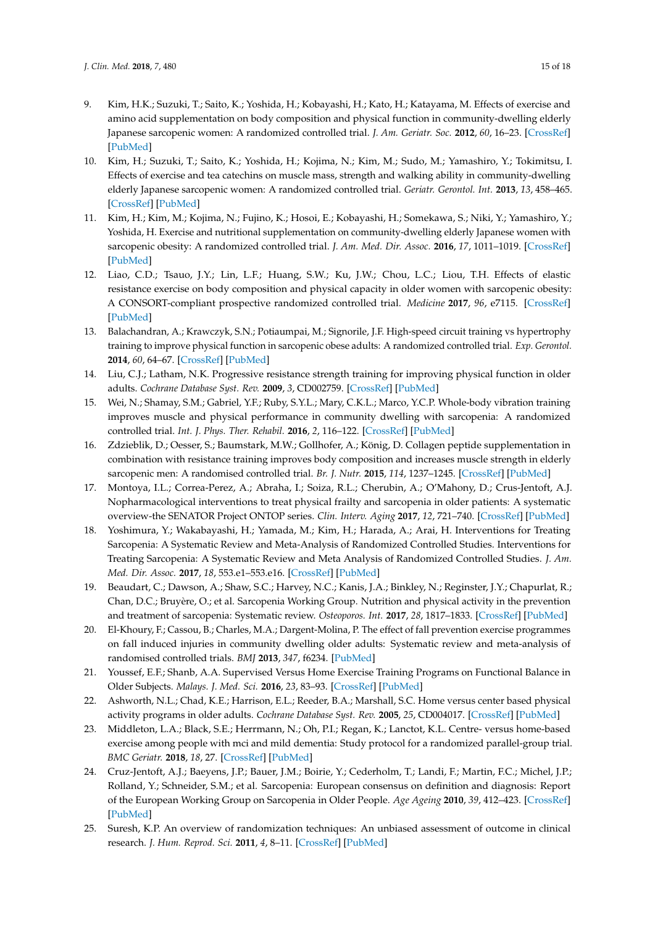- <span id="page-14-13"></span>9. Kim, H.K.; Suzuki, T.; Saito, K.; Yoshida, H.; Kobayashi, H.; Kato, H.; Katayama, M. Effects of exercise and amino acid supplementation on body composition and physical function in community-dwelling elderly Japanese sarcopenic women: A randomized controlled trial. *J. Am. Geriatr. Soc.* **2012**, *60*, 16–23. [\[CrossRef\]](http://dx.doi.org/10.1111/j.1532-5415.2011.03776.x) [\[PubMed\]](http://www.ncbi.nlm.nih.gov/pubmed/22142410)
- 10. Kim, H.; Suzuki, T.; Saito, K.; Yoshida, H.; Kojima, N.; Kim, M.; Sudo, M.; Yamashiro, Y.; Tokimitsu, I. Effects of exercise and tea catechins on muscle mass, strength and walking ability in community-dwelling elderly Japanese sarcopenic women: A randomized controlled trial. *Geriatr. Gerontol. Int.* **2013**, *13*, 458–465. [\[CrossRef\]](http://dx.doi.org/10.1111/j.1447-0594.2012.00923.x) [\[PubMed\]](http://www.ncbi.nlm.nih.gov/pubmed/22935006)
- 11. Kim, H.; Kim, M.; Kojima, N.; Fujino, K.; Hosoi, E.; Kobayashi, H.; Somekawa, S.; Niki, Y.; Yamashiro, Y.; Yoshida, H. Exercise and nutritional supplementation on community-dwelling elderly Japanese women with sarcopenic obesity: A randomized controlled trial. *J. Am. Med. Dir. Assoc.* **2016**, *17*, 1011–1019. [\[CrossRef\]](http://dx.doi.org/10.1016/j.jamda.2016.06.016) [\[PubMed\]](http://www.ncbi.nlm.nih.gov/pubmed/27544583)
- <span id="page-14-1"></span>12. Liao, C.D.; Tsauo, J.Y.; Lin, L.F.; Huang, S.W.; Ku, J.W.; Chou, L.C.; Liou, T.H. Effects of elastic resistance exercise on body composition and physical capacity in older women with sarcopenic obesity: A CONSORT-compliant prospective randomized controlled trial. *Medicine* **2017**, *96*, e7115. [\[CrossRef\]](http://dx.doi.org/10.1097/MD.0000000000007115) [\[PubMed\]](http://www.ncbi.nlm.nih.gov/pubmed/28591061)
- <span id="page-14-14"></span>13. Balachandran, A.; Krawczyk, S.N.; Potiaumpai, M.; Signorile, J.F. High-speed circuit training vs hypertrophy training to improve physical function in sarcopenic obese adults: A randomized controlled trial. *Exp. Gerontol.* **2014**, *60*, 64–67. [\[CrossRef\]](http://dx.doi.org/10.1016/j.exger.2014.09.016) [\[PubMed\]](http://www.ncbi.nlm.nih.gov/pubmed/25281504)
- <span id="page-14-12"></span>14. Liu, C.J.; Latham, N.K. Progressive resistance strength training for improving physical function in older adults. *Cochrane Database Syst. Rev.* **2009**, *3*, CD002759. [\[CrossRef\]](http://dx.doi.org/10.1002/14651858.CD002759.pub2) [\[PubMed\]](http://www.ncbi.nlm.nih.gov/pubmed/19588334)
- <span id="page-14-2"></span>15. Wei, N.; Shamay, S.M.; Gabriel, Y.F.; Ruby, S.Y.L.; Mary, C.K.L.; Marco, Y.C.P. Whole-body vibration training improves muscle and physical performance in community dwelling with sarcopenia: A randomized controlled trial. *Int. J. Phys. Ther. Rehabil.* **2016**, *2*, 116–122. [\[CrossRef\]](http://dx.doi.org/10.15344/2455-7498/2016/116) [\[PubMed\]](http://www.ncbi.nlm.nih.gov/pubmed/28948025)
- <span id="page-14-0"></span>16. Zdzieblik, D.; Oesser, S.; Baumstark, M.W.; Gollhofer, A.; König, D. Collagen peptide supplementation in combination with resistance training improves body composition and increases muscle strength in elderly sarcopenic men: A randomised controlled trial. *Br. J. Nutr.* **2015**, *114*, 1237–1245. [\[CrossRef\]](http://dx.doi.org/10.1017/S0007114515002810) [\[PubMed\]](http://www.ncbi.nlm.nih.gov/pubmed/26353786)
- <span id="page-14-3"></span>17. Montoya, I.L.; Correa-Perez, A.; Abraha, I.; Soiza, R.L.; Cherubin, A.; O'Mahony, D.; Crus-Jentoft, A.J. Nopharmacological interventions to treat physical frailty and sarcopenia in older patients: A systematic overview-the SENATOR Project ONTOP series. *Clin. Interv. Aging* **2017**, *12*, 721–740. [\[CrossRef\]](http://dx.doi.org/10.2147/CIA.S132496) [\[PubMed\]](http://www.ncbi.nlm.nih.gov/pubmed/28490866)
- <span id="page-14-5"></span>18. Yoshimura, Y.; Wakabayashi, H.; Yamada, M.; Kim, H.; Harada, A.; Arai, H. Interventions for Treating Sarcopenia: A Systematic Review and Meta-Analysis of Randomized Controlled Studies. Interventions for Treating Sarcopenia: A Systematic Review and Meta Analysis of Randomized Controlled Studies. *J. Am. Med. Dir. Assoc.* **2017**, *18*, 553.e1–553.e16. [\[CrossRef\]](http://dx.doi.org/10.1016/j.jamda.2017.03.019) [\[PubMed\]](http://www.ncbi.nlm.nih.gov/pubmed/28549707)
- <span id="page-14-4"></span>19. Beaudart, C.; Dawson, A.; Shaw, S.C.; Harvey, N.C.; Kanis, J.A.; Binkley, N.; Reginster, J.Y.; Chapurlat, R.; Chan, D.C.; Bruyère, O.; et al. Sarcopenia Working Group. Nutrition and physical activity in the prevention and treatment of sarcopenia: Systematic review. *Osteoporos. Int.* **2017**, *28*, 1817–1833. [\[CrossRef\]](http://dx.doi.org/10.1007/s00198-017-3980-9) [\[PubMed\]](http://www.ncbi.nlm.nih.gov/pubmed/28251287)
- <span id="page-14-6"></span>20. El-Khoury, F.; Cassou, B.; Charles, M.A.; Dargent-Molina, P. The effect of fall prevention exercise programmes on fall induced injuries in community dwelling older adults: Systematic review and meta-analysis of randomised controlled trials. *BMJ* **2013**, *347*, f6234. [\[PubMed\]](http://www.ncbi.nlm.nih.gov/pubmed/24169944)
- <span id="page-14-7"></span>21. Youssef, E.F.; Shanb, A.A. Supervised Versus Home Exercise Training Programs on Functional Balance in Older Subjects. *Malays. J. Med. Sci.* **2016**, *23*, 83–93. [\[CrossRef\]](http://dx.doi.org/10.21315/mjms2016.23.6.9) [\[PubMed\]](http://www.ncbi.nlm.nih.gov/pubmed/28090182)
- <span id="page-14-8"></span>22. Ashworth, N.L.; Chad, K.E.; Harrison, E.L.; Reeder, B.A.; Marshall, S.C. Home versus center based physical activity programs in older adults. *Cochrane Database Syst. Rev.* **2005**, *25*, CD004017. [\[CrossRef\]](http://dx.doi.org/10.1002/14651858.CD004017.pub2) [\[PubMed\]](http://www.ncbi.nlm.nih.gov/pubmed/15674925)
- <span id="page-14-9"></span>23. Middleton, L.A.; Black, S.E.; Herrmann, N.; Oh, P.I.; Regan, K.; Lanctot, K.L. Centre- versus home-based exercise among people with mci and mild dementia: Study protocol for a randomized parallel-group trial. *BMC Geriatr.* **2018**, *18*, 27. [\[CrossRef\]](http://dx.doi.org/10.1186/s12877-017-0684-0) [\[PubMed\]](http://www.ncbi.nlm.nih.gov/pubmed/29370756)
- <span id="page-14-10"></span>24. Cruz-Jentoft, A.J.; Baeyens, J.P.; Bauer, J.M.; Boirie, Y.; Cederholm, T.; Landi, F.; Martin, F.C.; Michel, J.P.; Rolland, Y.; Schneider, S.M.; et al. Sarcopenia: European consensus on definition and diagnosis: Report of the European Working Group on Sarcopenia in Older People. *Age Ageing* **2010**, *39*, 412–423. [\[CrossRef\]](http://dx.doi.org/10.1093/ageing/afq034) [\[PubMed\]](http://www.ncbi.nlm.nih.gov/pubmed/20392703)
- <span id="page-14-11"></span>25. Suresh, K.P. An overview of randomization techniques: An unbiased assessment of outcome in clinical research. *J. Hum. Reprod. Sci.* **2011**, *4*, 8–11. [\[CrossRef\]](http://dx.doi.org/10.4103/0974-1208.82352) [\[PubMed\]](http://www.ncbi.nlm.nih.gov/pubmed/21772732)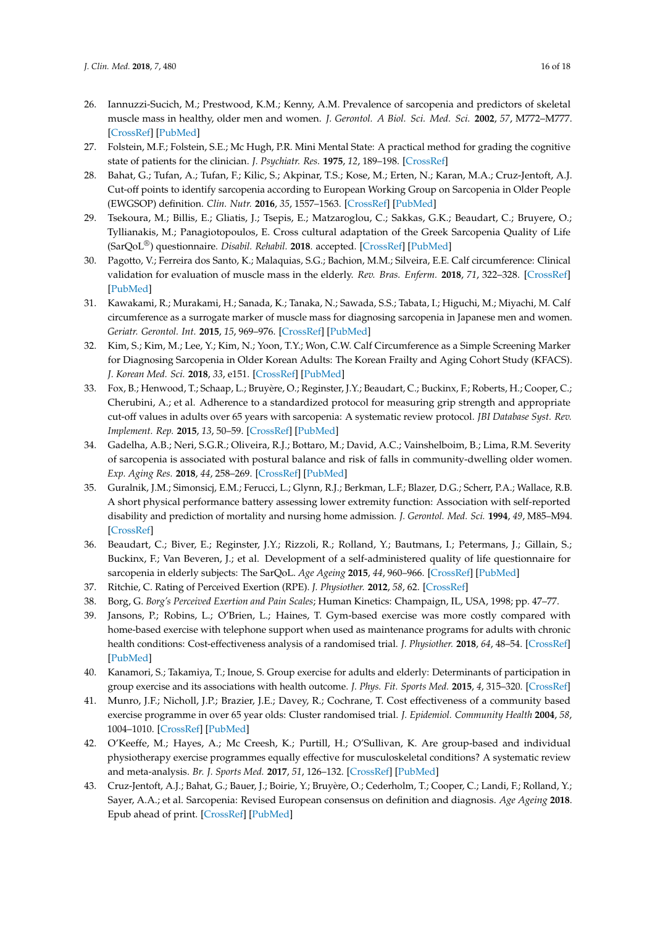- <span id="page-15-0"></span>26. Iannuzzi-Sucich, M.; Prestwood, K.M.; Kenny, A.M. Prevalence of sarcopenia and predictors of skeletal muscle mass in healthy, older men and women. *J. Gerontol. A Biol. Sci. Med. Sci.* **2002**, *57*, M772–M777. [\[CrossRef\]](http://dx.doi.org/10.1093/gerona/57.12.M772) [\[PubMed\]](http://www.ncbi.nlm.nih.gov/pubmed/12456735)
- <span id="page-15-1"></span>27. Folstein, M.F.; Folstein, S.E.; Mc Hugh, P.R. Mini Mental State: A practical method for grading the cognitive state of patients for the clinician. *J. Psychiatr. Res.* **1975**, *12*, 189–198. [\[CrossRef\]](http://dx.doi.org/10.1016/0022-3956(75)90026-6)
- <span id="page-15-2"></span>28. Bahat, G.; Tufan, A.; Tufan, F.; Kilic, S.; Akpinar, T.S.; Kose, M.; Erten, N.; Karan, M.A.; Cruz-Jentoft, A.J. Cut-off points to identify sarcopenia according to European Working Group on Sarcopenia in Older People (EWGSOP) definition. *Clin. Nutr.* **2016**, *35*, 1557–1563. [\[CrossRef\]](http://dx.doi.org/10.1016/j.clnu.2016.02.002) [\[PubMed\]](http://www.ncbi.nlm.nih.gov/pubmed/26922142)
- <span id="page-15-3"></span>29. Tsekoura, M.; Billis, E.; Gliatis, J.; Tsepis, E.; Matzaroglou, C.; Sakkas, G.K.; Beaudart, C.; Bruyere, O.; Tyllianakis, M.; Panagiotopoulos, E. Cross cultural adaptation of the Greek Sarcopenia Quality of Life (SarQoL®) questionnaire. *Disabil. Rehabil.* **2018**. accepted. [\[CrossRef\]](http://dx.doi.org/10.1080/09638288.2018.1514076) [\[PubMed\]](http://www.ncbi.nlm.nih.gov/pubmed/30453790)
- <span id="page-15-4"></span>30. Pagotto, V.; Ferreira dos Santo, K.; Malaquias, S.G.; Bachion, M.M.; Silveira, E.E. Calf circumference: Clinical validation for evaluation of muscle mass in the elderly. *Rev. Bras. Enferm.* **2018**, *71*, 322–328. [\[CrossRef\]](http://dx.doi.org/10.1590/0034-7167-2017-0121) [\[PubMed\]](http://www.ncbi.nlm.nih.gov/pubmed/29412289)
- 31. Kawakami, R.; Murakami, H.; Sanada, K.; Tanaka, N.; Sawada, S.S.; Tabata, I.; Higuchi, M.; Miyachi, M. Calf circumference as a surrogate marker of muscle mass for diagnosing sarcopenia in Japanese men and women. *Geriatr. Gerontol. Int.* **2015**, *15*, 969–976. [\[CrossRef\]](http://dx.doi.org/10.1111/ggi.12377) [\[PubMed\]](http://www.ncbi.nlm.nih.gov/pubmed/25243821)
- <span id="page-15-5"></span>32. Kim, S.; Kim, M.; Lee, Y.; Kim, N.; Yoon, T.Y.; Won, C.W. Calf Circumference as a Simple Screening Marker for Diagnosing Sarcopenia in Older Korean Adults: The Korean Frailty and Aging Cohort Study (KFACS). *J. Korean Med. Sci.* **2018**, *33*, e151. [\[CrossRef\]](http://dx.doi.org/10.3346/jkms.2018.33.e151) [\[PubMed\]](http://www.ncbi.nlm.nih.gov/pubmed/29760608)
- <span id="page-15-6"></span>33. Fox, B.; Henwood, T.; Schaap, L.; Bruyère, O.; Reginster, J.Y.; Beaudart, C.; Buckinx, F.; Roberts, H.; Cooper, C.; Cherubini, A.; et al. Adherence to a standardized protocol for measuring grip strength and appropriate cut-off values in adults over 65 years with sarcopenia: A systematic review protocol. *JBI Database Syst. Rev. Implement. Rep.* **2015**, *13*, 50–59. [\[CrossRef\]](http://dx.doi.org/10.11124/jbisrir-2015-2256) [\[PubMed\]](http://www.ncbi.nlm.nih.gov/pubmed/26571282)
- <span id="page-15-7"></span>34. Gadelha, A.B.; Neri, S.G.R.; Oliveira, R.J.; Bottaro, M.; David, A.C.; Vainshelboim, B.; Lima, R.M. Severity of sarcopenia is associated with postural balance and risk of falls in community-dwelling older women. *Exp. Aging Res.* **2018**, *44*, 258–269. [\[CrossRef\]](http://dx.doi.org/10.1080/0361073X.2018.1449591) [\[PubMed\]](http://www.ncbi.nlm.nih.gov/pubmed/29558320)
- <span id="page-15-8"></span>35. Guralnik, J.M.; Simonsicj, E.M.; Ferucci, L.; Glynn, R.J.; Berkman, L.F.; Blazer, D.G.; Scherr, P.A.; Wallace, R.B. A short physical performance battery assessing lower extremity function: Association with self-reported disability and prediction of mortality and nursing home admission. *J. Gerontol. Med. Sci.* **1994**, *49*, M85–M94. [\[CrossRef\]](http://dx.doi.org/10.1093/geronj/49.2.M85)
- <span id="page-15-9"></span>36. Beaudart, C.; Biver, E.; Reginster, J.Y.; Rizzoli, R.; Rolland, Y.; Bautmans, I.; Petermans, J.; Gillain, S.; Buckinx, F.; Van Beveren, J.; et al. Development of a self-administered quality of life questionnaire for sarcopenia in elderly subjects: The SarQoL. *Age Ageing* **2015**, *44*, 960–966. [\[CrossRef\]](http://dx.doi.org/10.1093/ageing/afv133) [\[PubMed\]](http://www.ncbi.nlm.nih.gov/pubmed/26433796)
- <span id="page-15-10"></span>37. Ritchie, C. Rating of Perceived Exertion (RPE). *J. Physiother.* **2012**, *58*, 62. [\[CrossRef\]](http://dx.doi.org/10.1016/S1836-9553(12)70078-4)
- <span id="page-15-11"></span>38. Borg, G. *Borg's Perceived Exertion and Pain Scales*; Human Kinetics: Champaign, IL, USA, 1998; pp. 47–77.
- <span id="page-15-12"></span>39. Jansons, P.; Robins, L.; O'Brien, L.; Haines, T. Gym-based exercise was more costly compared with home-based exercise with telephone support when used as maintenance programs for adults with chronic health conditions: Cost-effectiveness analysis of a randomised trial. *J. Physiother.* **2018**, *64*, 48–54. [\[CrossRef\]](http://dx.doi.org/10.1016/j.jphys.2017.11.010) [\[PubMed\]](http://www.ncbi.nlm.nih.gov/pubmed/29289580)
- <span id="page-15-16"></span>40. Kanamori, S.; Takamiya, T.; Inoue, S. Group exercise for adults and elderly: Determinants of participation in group exercise and its associations with health outcome. *J. Phys. Fit. Sports Med.* **2015**, *4*, 315–320. [\[CrossRef\]](http://dx.doi.org/10.7600/jpfsm.4.315)
- <span id="page-15-13"></span>41. Munro, J.F.; Nicholl, J.P.; Brazier, J.E.; Davey, R.; Cochrane, T. Cost effectiveness of a community based exercise programme in over 65 year olds: Cluster randomised trial. *J. Epidemiol. Community Health* **2004**, *58*, 1004–1010. [\[CrossRef\]](http://dx.doi.org/10.1136/jech.2003.014225) [\[PubMed\]](http://www.ncbi.nlm.nih.gov/pubmed/15547060)
- <span id="page-15-14"></span>42. O'Keeffe, M.; Hayes, A.; Mc Creesh, K.; Purtill, H.; O'Sullivan, K. Are group-based and individual physiotherapy exercise programmes equally effective for musculoskeletal conditions? A systematic review and meta-analysis. *Br. J. Sports Med.* **2017**, *51*, 126–132. [\[CrossRef\]](http://dx.doi.org/10.1136/bjsports-2015-095410) [\[PubMed\]](http://www.ncbi.nlm.nih.gov/pubmed/27343238)
- <span id="page-15-15"></span>43. Cruz-Jentoft, A.J.; Bahat, G.; Bauer, J.; Boirie, Y.; Bruyère, O.; Cederholm, T.; Cooper, C.; Landi, F.; Rolland, Y.; Sayer, A.A.; et al. Sarcopenia: Revised European consensus on definition and diagnosis. *Age Ageing* **2018**. Epub ahead of print. [\[CrossRef\]](http://dx.doi.org/10.1093/ageing/afy169) [\[PubMed\]](http://www.ncbi.nlm.nih.gov/pubmed/30312372)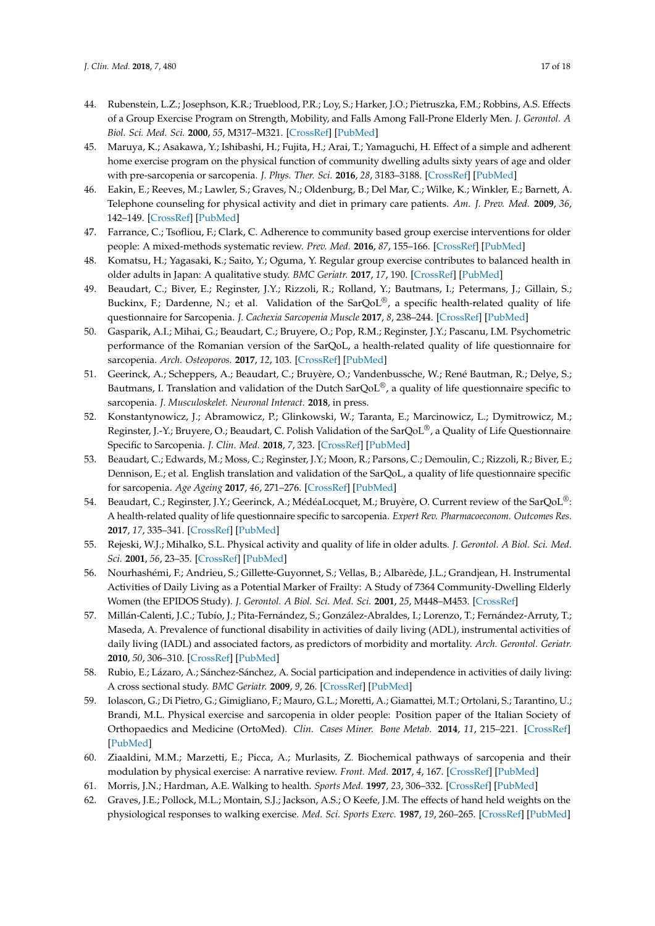- <span id="page-16-0"></span>44. Rubenstein, L.Z.; Josephson, K.R.; Trueblood, P.R.; Loy, S.; Harker, J.O.; Pietruszka, F.M.; Robbins, A.S. Effects of a Group Exercise Program on Strength, Mobility, and Falls Among Fall-Prone Elderly Men. *J. Gerontol. A Biol. Sci. Med. Sci.* **2000**, *55*, M317–M321. [\[CrossRef\]](http://dx.doi.org/10.1093/gerona/55.6.M317) [\[PubMed\]](http://www.ncbi.nlm.nih.gov/pubmed/10843351)
- <span id="page-16-1"></span>45. Maruya, K.; Asakawa, Y.; Ishibashi, H.; Fujita, H.; Arai, T.; Yamaguchi, H. Effect of a simple and adherent home exercise program on the physical function of community dwelling adults sixty years of age and older with pre-sarcopenia or sarcopenia. *J. Phys. Ther. Sci.* **2016**, *28*, 3183–3188. [\[CrossRef\]](http://dx.doi.org/10.1589/jpts.28.3183) [\[PubMed\]](http://www.ncbi.nlm.nih.gov/pubmed/27942146)
- <span id="page-16-2"></span>46. Eakin, E.; Reeves, M.; Lawler, S.; Graves, N.; Oldenburg, B.; Del Mar, C.; Wilke, K.; Winkler, E.; Barnett, A. Telephone counseling for physical activity and diet in primary care patients. *Am. J. Prev. Med.* **2009**, *36*, 142–149. [\[CrossRef\]](http://dx.doi.org/10.1016/j.amepre.2008.09.042) [\[PubMed\]](http://www.ncbi.nlm.nih.gov/pubmed/19062240)
- <span id="page-16-3"></span>47. Farrance, C.; Tsofliou, F.; Clark, C. Adherence to community based group exercise interventions for older people: A mixed-methods systematic review. *Prev. Med.* **2016**, *87*, 155–166. [\[CrossRef\]](http://dx.doi.org/10.1016/j.ypmed.2016.02.037) [\[PubMed\]](http://www.ncbi.nlm.nih.gov/pubmed/26921655)
- <span id="page-16-4"></span>48. Komatsu, H.; Yagasaki, K.; Saito, Y.; Oguma, Y. Regular group exercise contributes to balanced health in older adults in Japan: A qualitative study. *BMC Geriatr.* **2017**, *17*, 190. [\[CrossRef\]](http://dx.doi.org/10.1186/s12877-017-0584-3) [\[PubMed\]](http://www.ncbi.nlm.nih.gov/pubmed/28830443)
- <span id="page-16-5"></span>49. Beaudart, C.; Biver, E.; Reginster, J.Y.; Rizzoli, R.; Rolland, Y.; Bautmans, I.; Petermans, J.; Gillain, S.; Buckinx, F.; Dardenne, N.; et al. Validation of the  $SarQoL^{\circledcirc}$ , a specific health-related quality of life questionnaire for Sarcopenia. *J. Cachexia Sarcopenia Muscle* **2017**, *8*, 238–244. [\[CrossRef\]](http://dx.doi.org/10.1002/jcsm.12149) [\[PubMed\]](http://www.ncbi.nlm.nih.gov/pubmed/27897430)
- 50. Gasparik, A.I.; Mihai, G.; Beaudart, C.; Bruyere, O.; Pop, R.M.; Reginster, J.Y.; Pascanu, I.M. Psychometric performance of the Romanian version of the SarQoL, a health-related quality of life questionnaire for sarcopenia. *Arch. Osteoporos.* **2017**, *12*, 103. [\[CrossRef\]](http://dx.doi.org/10.1007/s11657-018-0516-7) [\[PubMed\]](http://www.ncbi.nlm.nih.gov/pubmed/30225653)
- 51. Geerinck, A.; Scheppers, A.; Beaudart, C.; Bruyère, O.; Vandenbussche, W.; René Bautman, R.; Delye, S.; Bautmans, I. Translation and validation of the Dutch SarQoL<sup>®</sup>, a quality of life questionnaire specific to sarcopenia. *J. Musculoskelet. Neuronal Interact.* **2018**, in press.
- 52. Konstantynowicz, J.; Abramowicz, P.; Glinkowski, W.; Taranta, E.; Marcinowicz, L.; Dymitrowicz, M.; Reginster, J.-Y.; Bruyere, O.; Beaudart, C. Polish Validation of the SarQoL®, a Quality of Life Questionnaire Specific to Sarcopenia. *J. Clin. Med.* **2018**, *7*, 323. [\[CrossRef\]](http://dx.doi.org/10.3390/jcm7100323) [\[PubMed\]](http://www.ncbi.nlm.nih.gov/pubmed/30287728)
- <span id="page-16-6"></span>53. Beaudart, C.; Edwards, M.; Moss, C.; Reginster, J.Y.; Moon, R.; Parsons, C.; Demoulin, C.; Rizzoli, R.; Biver, E.; Dennison, E.; et al. English translation and validation of the SarQoL, a quality of life questionnaire specific for sarcopenia. *Age Ageing* **2017**, *46*, 271–276. [\[CrossRef\]](http://dx.doi.org/10.1093/ageing/afw192) [\[PubMed\]](http://www.ncbi.nlm.nih.gov/pubmed/27789428)
- <span id="page-16-7"></span>54. Beaudart, C.; Reginster, J.Y.; Geerinck, A.; MédéaLocquet, M.; Bruyère, O. Current review of the SarQoL®: A health-related quality of life questionnaire specific to sarcopenia. *Expert Rev. Pharmacoeconom. Outcomes Res.* **2017**, *17*, 335–341. [\[CrossRef\]](http://dx.doi.org/10.1080/14737167.2017.1360768) [\[PubMed\]](http://www.ncbi.nlm.nih.gov/pubmed/28749192)
- <span id="page-16-8"></span>55. Rejeski, W.J.; Mihalko, S.L. Physical activity and quality of life in older adults. *J. Gerontol. A Biol. Sci. Med. Sci.* **2001**, *56*, 23–35. [\[CrossRef\]](http://dx.doi.org/10.1093/gerona/56.suppl_2.23) [\[PubMed\]](http://www.ncbi.nlm.nih.gov/pubmed/11730235)
- <span id="page-16-9"></span>56. Nourhashémi, F.; Andrieu, S.; Gillette-Guyonnet, S.; Vellas, B.; Albarède, J.L.; Grandjean, H. Instrumental Activities of Daily Living as a Potential Marker of Frailty: A Study of 7364 Community-Dwelling Elderly Women (the EPIDOS Study). *J. Gerontol. A Biol. Sci. Med. Sci.* **2001**, *25*, M448–M453. [\[CrossRef\]](http://dx.doi.org/10.1093/gerona/56.7.M448)
- <span id="page-16-10"></span>57. Millán-Calenti, J.C.; Tubío, J.; Pita-Fernández, S.; González-Abraldes, I.; Lorenzo, T.; Fernández-Arruty, T.; Maseda, A. Prevalence of functional disability in activities of daily living (ADL), instrumental activities of daily living (IADL) and associated factors, as predictors of morbidity and mortality. *Arch. Gerontol. Geriatr.* **2010**, *50*, 306–310. [\[CrossRef\]](http://dx.doi.org/10.1016/j.archger.2009.04.017) [\[PubMed\]](http://www.ncbi.nlm.nih.gov/pubmed/19520442)
- <span id="page-16-11"></span>58. Rubio, E.; Lázaro, A.; Sánchez-Sánchez, A. Social participation and independence in activities of daily living: A cross sectional study. *BMC Geriatr.* **2009**, *9*, 26. [\[CrossRef\]](http://dx.doi.org/10.1186/1471-2318-9-26) [\[PubMed\]](http://www.ncbi.nlm.nih.gov/pubmed/19583855)
- <span id="page-16-12"></span>59. Iolascon, G.; Di Pietro, G.; Gimigliano, F.; Mauro, G.L.; Moretti, A.; Giamattei, M.T.; Ortolani, S.; Tarantino, U.; Brandi, M.L. Physical exercise and sarcopenia in older people: Position paper of the Italian Society of Orthopaedics and Medicine (OrtoMed). *Clin. Cases Miner. Bone Metab.* **2014**, *11*, 215–221. [\[CrossRef\]](http://dx.doi.org/10.11138/ccmbm/2014.11.3.215) [\[PubMed\]](http://www.ncbi.nlm.nih.gov/pubmed/25568656)
- <span id="page-16-13"></span>60. Ziaaldini, M.M.; Marzetti, E.; Picca, A.; Murlasits, Z. Biochemical pathways of sarcopenia and their modulation by physical exercise: A narrative review. *Front. Med.* **2017**, *4*, 167. [\[CrossRef\]](http://dx.doi.org/10.3389/fmed.2017.00167) [\[PubMed\]](http://www.ncbi.nlm.nih.gov/pubmed/29046874)
- <span id="page-16-14"></span>61. Morris, J.N.; Hardman, A.E. Walking to health. *Sports Med.* **1997**, *23*, 306–332. [\[CrossRef\]](http://dx.doi.org/10.2165/00007256-199723050-00004) [\[PubMed\]](http://www.ncbi.nlm.nih.gov/pubmed/9181668)
- <span id="page-16-15"></span>62. Graves, J.E.; Pollock, M.L.; Montain, S.J.; Jackson, A.S.; O Keefe, J.M. The effects of hand held weights on the physiological responses to walking exercise. *Med. Sci. Sports Exerc.* **1987**, *19*, 260–265. [\[CrossRef\]](http://dx.doi.org/10.1249/00005768-198706000-00013) [\[PubMed\]](http://www.ncbi.nlm.nih.gov/pubmed/3600240)